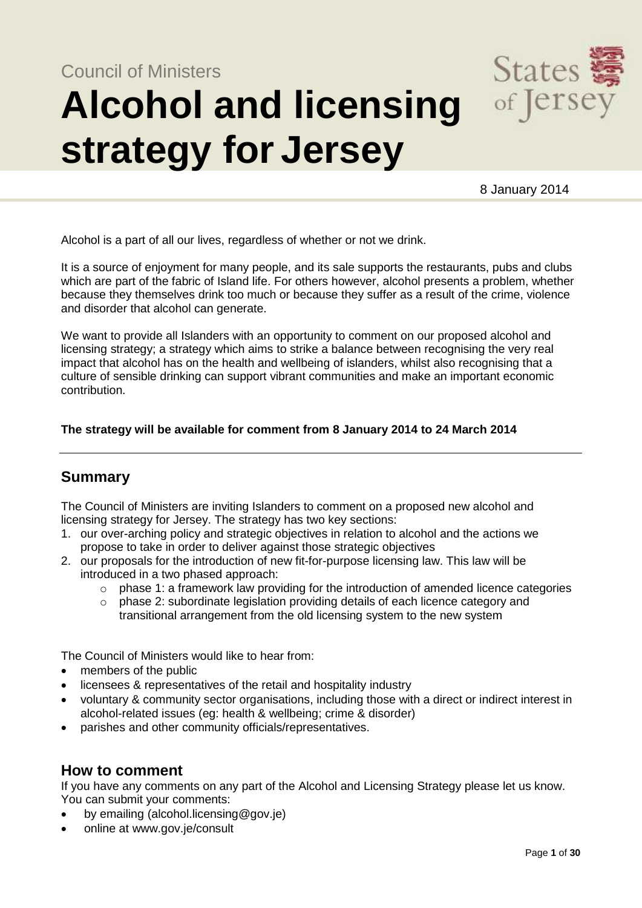# Council of Ministers **Alcohol and licensing strategy for Jersey**



8 January 2014

Alcohol is a part of all our lives, regardless of whether or not we drink.

It is a source of enjoyment for many people, and its sale supports the restaurants, pubs and clubs which are part of the fabric of Island life. For others however, alcohol presents a problem, whether because they themselves drink too much or because they suffer as a result of the crime, violence and disorder that alcohol can generate.

We want to provide all Islanders with an opportunity to comment on our proposed alcohol and licensing strategy; a strategy which aims to strike a balance between recognising the very real impact that alcohol has on the health and wellbeing of islanders, whilst also recognising that a culture of sensible drinking can support vibrant communities and make an important economic contribution.

### **The strategy will be available for comment from 8 January 2014 to 24 March 2014**

# **Summary**

The Council of Ministers are inviting Islanders to comment on a proposed new alcohol and licensing strategy for Jersey. The strategy has two key sections:

- 1. our over-arching policy and strategic objectives in relation to alcohol and the actions we propose to take in order to deliver against those strategic objectives
- 2. our proposals for the introduction of new fit-for-purpose licensing law. This law will be introduced in a two phased approach:
	- $\circ$  phase 1: a framework law providing for the introduction of amended licence categories
	- $\circ$  phase 2: subordinate legislation providing details of each licence category and transitional arrangement from the old licensing system to the new system

The Council of Ministers would like to hear from:

- members of the public
- licensees & representatives of the retail and hospitality industry
- voluntary & community sector organisations, including those with a direct or indirect interest in alcohol-related issues (eg: health & wellbeing; crime & disorder)
- parishes and other community officials/representatives.

# **How to comment**

If you have any comments on any part of the Alcohol and Licensing Strategy please let us know. You can submit your comments:

- by emailing (alcohol.licensing@gov.je)
- online at www.gov.je/consult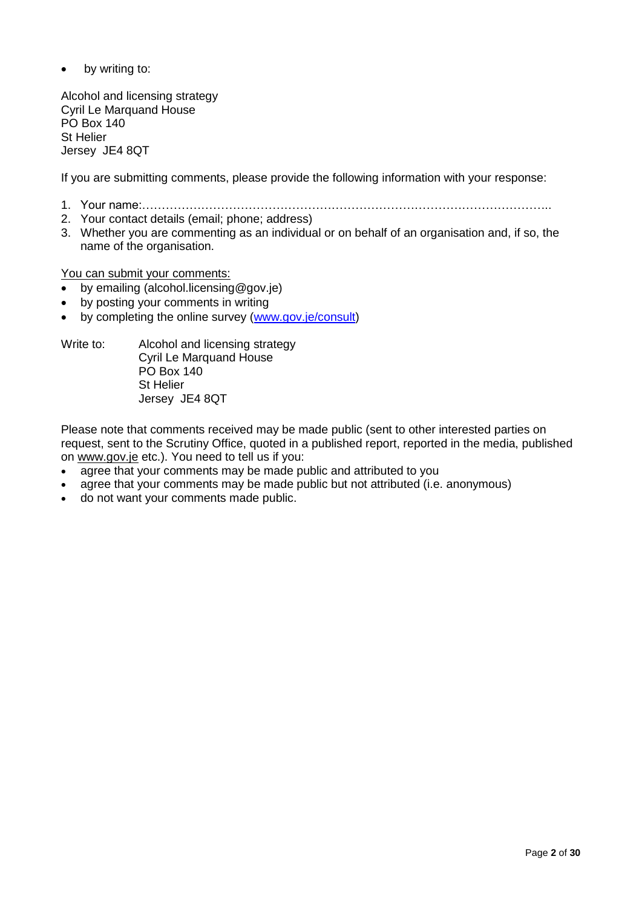• by writing to:

Alcohol and licensing strategy Cyril Le Marquand House PO Box 140 St Helier Jersey JE4 8QT

If you are submitting comments, please provide the following information with your response:

- 1. Your name:…………………………………………………………………………………………..
- 2. Your contact details (email; phone; address)
- 3. Whether you are commenting as an individual or on behalf of an organisation and, if so, the name of the organisation.

You can submit your comments:

- by emailing (alcohol.licensing@gov.je)
- by posting your comments in writing
- by completing the online survey [\(www.gov.je/consult\)](http://www.gov.je/consult)

Write to: Alcohol and licensing strategy Cyril Le Marquand House PO Box 140 St Helier Jersey JE4 8QT

Please note that comments received may be made public (sent to other interested parties on request, sent to the Scrutiny Office, quoted in a published report, reported in the media, published on [www.gov.je](http://www.gov.je/) etc.). You need to tell us if you:

- agree that your comments may be made public and attributed to you
- agree that your comments may be made public but not attributed (i.e. anonymous)
- do not want your comments made public.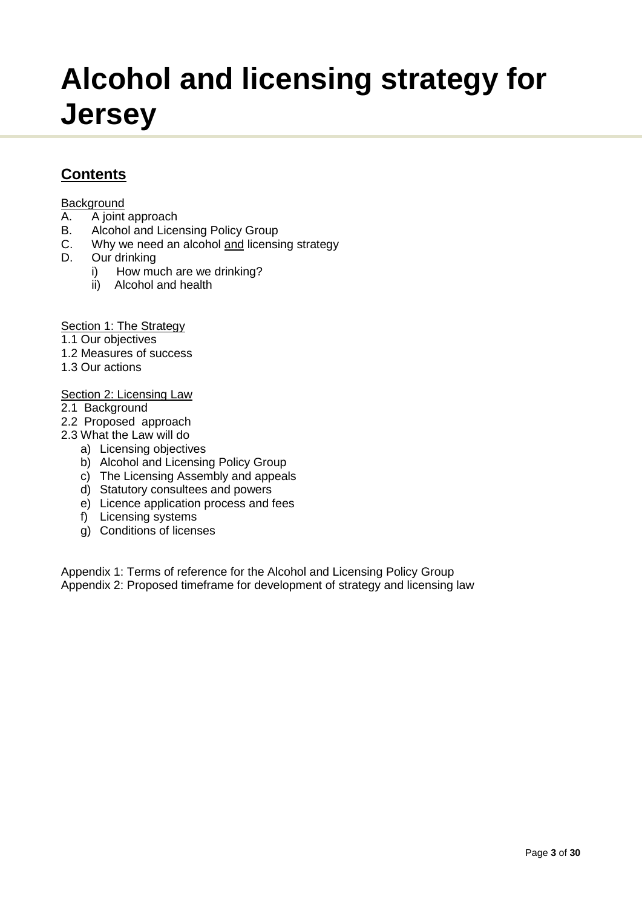# **Alcohol and licensing strategy for Jersey**

# **Contents**

## **Background**

- A. A joint approach
- B. Alcohol and Licensing Policy Group
- C. Why we need an alcohol and licensing strategy
- D. Our drinking
	- i) How much are we drinking?
	- ii) Alcohol and health

# Section 1: The Strategy

- 1.1 Our objectives
- 1.2 Measures of success
- 1.3 Our actions

#### Section 2: Licensing Law

- 2.1 Background
- 2.2 Proposed approach
- 2.3 What the Law will do
	- a) Licensing objectives
	- b) Alcohol and Licensing Policy Group
	- c) The Licensing Assembly and appeals
	- d) Statutory consultees and powers
	- e) Licence application process and fees
	- f) Licensing systems
	- g) Conditions of licenses

Appendix 1: Terms of reference for the Alcohol and Licensing Policy Group Appendix 2: Proposed timeframe for development of strategy and licensing law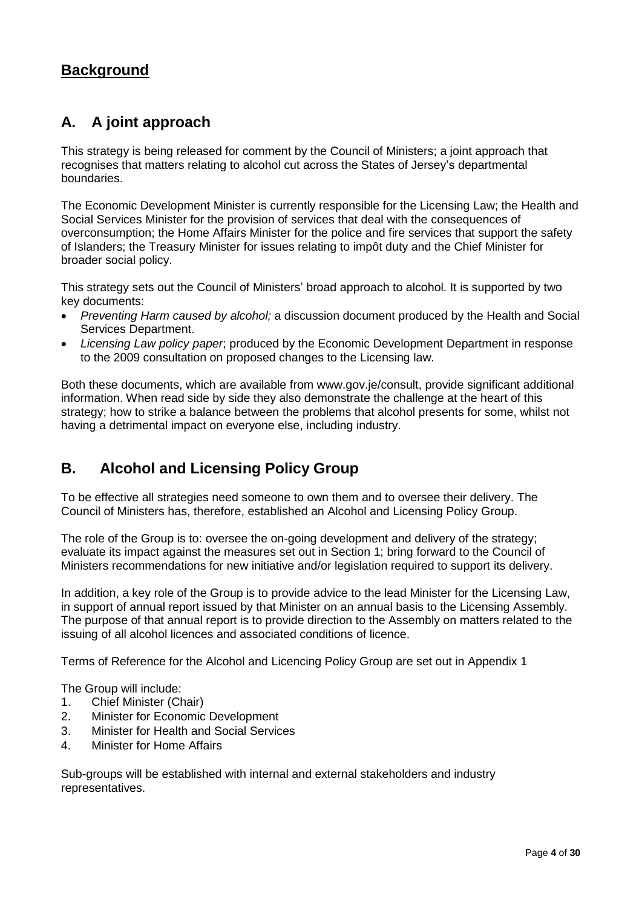# **Background**

# **A. A joint approach**

This strategy is being released for comment by the Council of Ministers; a joint approach that recognises that matters relating to alcohol cut across the States of Jersey's departmental boundaries.

The Economic Development Minister is currently responsible for the Licensing Law; the Health and Social Services Minister for the provision of services that deal with the consequences of overconsumption; the Home Affairs Minister for the police and fire services that support the safety of Islanders; the Treasury Minister for issues relating to impôt duty and the Chief Minister for broader social policy.

This strategy sets out the Council of Ministers' broad approach to alcohol. It is supported by two key documents:

- *Preventing Harm caused by alcohol;* a discussion document produced by the Health and Social Services Department.
- *Licensing Law policy paper*; produced by the Economic Development Department in response to the 2009 consultation on proposed changes to the Licensing law.

Both these documents, which are available from www.gov.je/consult, provide significant additional information. When read side by side they also demonstrate the challenge at the heart of this strategy; how to strike a balance between the problems that alcohol presents for some, whilst not having a detrimental impact on everyone else, including industry.

# **B. Alcohol and Licensing Policy Group**

To be effective all strategies need someone to own them and to oversee their delivery. The Council of Ministers has, therefore, established an Alcohol and Licensing Policy Group.

The role of the Group is to: oversee the on-going development and delivery of the strategy; evaluate its impact against the measures set out in Section 1; bring forward to the Council of Ministers recommendations for new initiative and/or legislation required to support its delivery.

In addition, a key role of the Group is to provide advice to the lead Minister for the Licensing Law, in support of annual report issued by that Minister on an annual basis to the Licensing Assembly. The purpose of that annual report is to provide direction to the Assembly on matters related to the issuing of all alcohol licences and associated conditions of licence.

Terms of Reference for the Alcohol and Licencing Policy Group are set out in Appendix 1

The Group will include:

- 1. Chief Minister (Chair)
- 2. Minister for Economic Development
- 3. Minister for Health and Social Services
- 4. Minister for Home Affairs

Sub-groups will be established with internal and external stakeholders and industry representatives.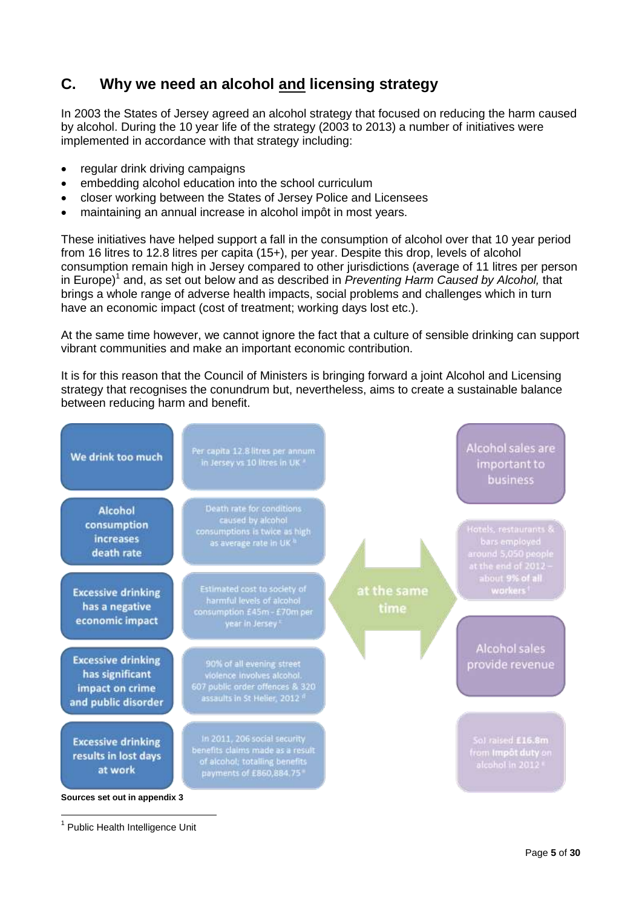# **C. Why we need an alcohol and licensing strategy**

In 2003 the States of Jersey agreed an alcohol strategy that focused on reducing the harm caused by alcohol. During the 10 year life of the strategy (2003 to 2013) a number of initiatives were implemented in accordance with that strategy including:

- regular drink driving campaigns
- embedding alcohol education into the school curriculum
- closer working between the States of Jersey Police and Licensees
- maintaining an annual increase in alcohol impôt in most years.

These initiatives have helped support a fall in the consumption of alcohol over that 10 year period from 16 litres to 12.8 litres per capita (15+), per year. Despite this drop, levels of alcohol consumption remain high in Jersey compared to other jurisdictions (average of 11 litres per person in Europe) 1 and, as set out below and as described in *Preventing Harm Caused by Alcohol,* that brings a whole range of adverse health impacts, social problems and challenges which in turn have an economic impact (cost of treatment; working days lost etc.).

At the same time however, we cannot ignore the fact that a culture of sensible drinking can support vibrant communities and make an important economic contribution.

It is for this reason that the Council of Ministers is bringing forward a joint Alcohol and Licensing strategy that recognises the conundrum but, nevertheless, aims to create a sustainable balance between reducing harm and benefit.



<sup>1</sup> Public Health Intelligence Unit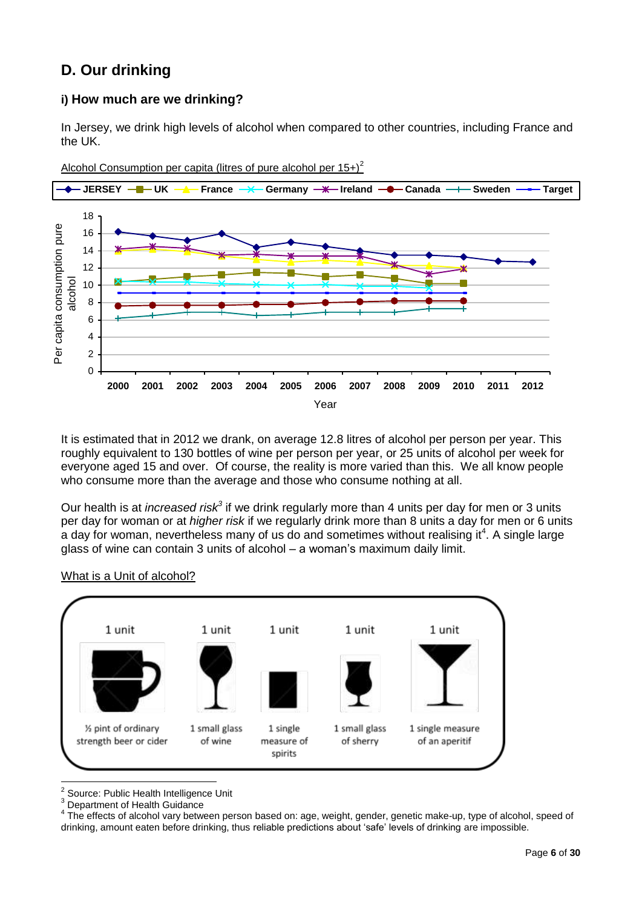# **D. Our drinking**

## **i) How much are we drinking?**

In Jersey, we drink high levels of alcohol when compared to other countries, including France and the UK.



Alcohol Consumption per capita (litres of pure alcohol per  $15+$ )<sup>2</sup>

It is estimated that in 2012 we drank, on average 12.8 litres of alcohol per person per year. This roughly equivalent to 130 bottles of wine per person per year, or 25 units of alcohol per week for everyone aged 15 and over. Of course, the reality is more varied than this. We all know people who consume more than the average and those who consume nothing at all.

Our health is at *increased risk<sup>3</sup>* if we drink regularly more than 4 units per day for men or 3 units per day for woman or at *higher risk* if we regularly drink more than 8 units a day for men or 6 units a day for woman, nevertheless many of us do and sometimes without realising it<sup>4</sup>. A single large glass of wine can contain 3 units of alcohol – a woman's maximum daily limit.



### What is a Unit of alcohol?

 $\frac{1}{2}$ Source: Public Health Intelligence Unit

<sup>&</sup>lt;sup>3</sup> Department of Health Guidance

<sup>4</sup> The effects of alcohol vary between person based on: age, weight, gender, genetic make-up, type of alcohol, speed of drinking, amount eaten before drinking, thus reliable predictions about 'safe' levels of drinking are impossible.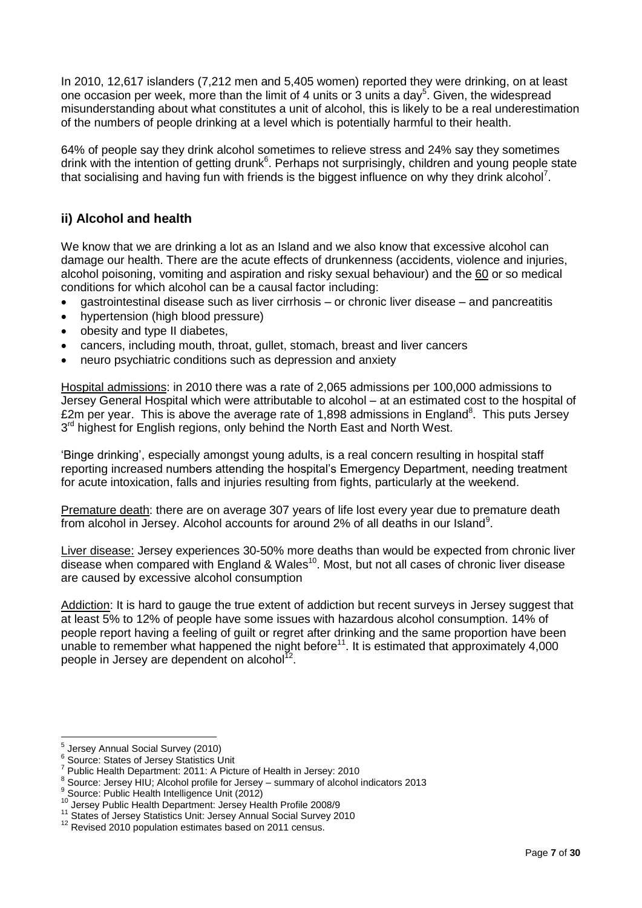In 2010, 12,617 islanders (7,212 men and 5,405 women) reported they were drinking, on at least one occasion per week, more than the limit of 4 units or 3 units a day<sup>5</sup>. Given, the widespread misunderstanding about what constitutes a unit of alcohol, this is likely to be a real underestimation of the numbers of people drinking at a level which is potentially harmful to their health.

64% of people say they drink alcohol sometimes to relieve stress and 24% say they sometimes drink with the intention of getting drunk<sup>6</sup>. Perhaps not surprisingly, children and young people state that socialising and having fun with friends is the biggest influence on why they drink alcohol<sup>7</sup>.

# **ii) Alcohol and health**

We know that we are drinking a lot as an Island and we also know that excessive alcohol can damage our health. There are the acute effects of drunkenness (accidents, violence and injuries, alcohol poisoning, vomiting and aspiration and risky sexual behaviour) and the 60 or so medical conditions for which alcohol can be a causal factor including:

- gastrointestinal disease such as liver cirrhosis or chronic liver disease and pancreatitis
- hypertension (high blood pressure)
- obesity and type II diabetes,
- cancers, including mouth, throat, gullet, stomach, breast and liver cancers
- neuro psychiatric conditions such as depression and anxiety

Hospital admissions: in 2010 there was a rate of 2,065 admissions per 100,000 admissions to Jersey General Hospital which were attributable to alcohol – at an estimated cost to the hospital of £2m per year. This is above the average rate of 1,898 admissions in England<sup>8</sup>. This puts Jersey 3<sup>rd</sup> highest for English regions, only behind the North East and North West.

'Binge drinking', especially amongst young adults, is a real concern resulting in hospital staff reporting increased numbers attending the hospital's Emergency Department, needing treatment for acute intoxication, falls and injuries resulting from fights, particularly at the weekend.

Premature death: there are on average 307 years of life lost every year due to premature death from alcohol in Jersey. Alcohol accounts for around 2% of all deaths in our Island<sup>9</sup>.

Liver disease: Jersey experiences 30-50% more deaths than would be expected from chronic liver  $\overline{d}$  disease when compared with England & Wales<sup>10</sup>. Most, but not all cases of chronic liver disease are caused by excessive alcohol consumption

Addiction: It is hard to gauge the true extent of addiction but recent surveys in Jersey suggest that at least 5% to 12% of people have some issues with hazardous alcohol consumption. 14% of people report having a feeling of guilt or regret after drinking and the same proportion have been unable to remember what happened the night before $11$ . It is estimated that approximately 4,000 people in Jersey are dependent on alcohol<sup>72</sup>.

 $\overline{a}$ 

<sup>5</sup> Jersey Annual Social Survey (2010)

<sup>6</sup> Source: States of Jersey Statistics Unit

<sup>7</sup> Public Health Department: 2011: A Picture of Health in Jersey: 2010

<sup>&</sup>lt;sup>8</sup> Source: Jersey HIU; Alcohol profile for Jersey - summary of alcohol indicators 2013

<sup>9</sup> Source: Public Health Intelligence Unit (2012)

<sup>10</sup> Jersey Public Health Department: Jersey Health Profile 2008/9

<sup>11</sup> States of Jersey Statistics Unit: Jersey Annual Social Survey 2010

<sup>&</sup>lt;sup>12</sup> Revised 2010 population estimates based on 2011 census.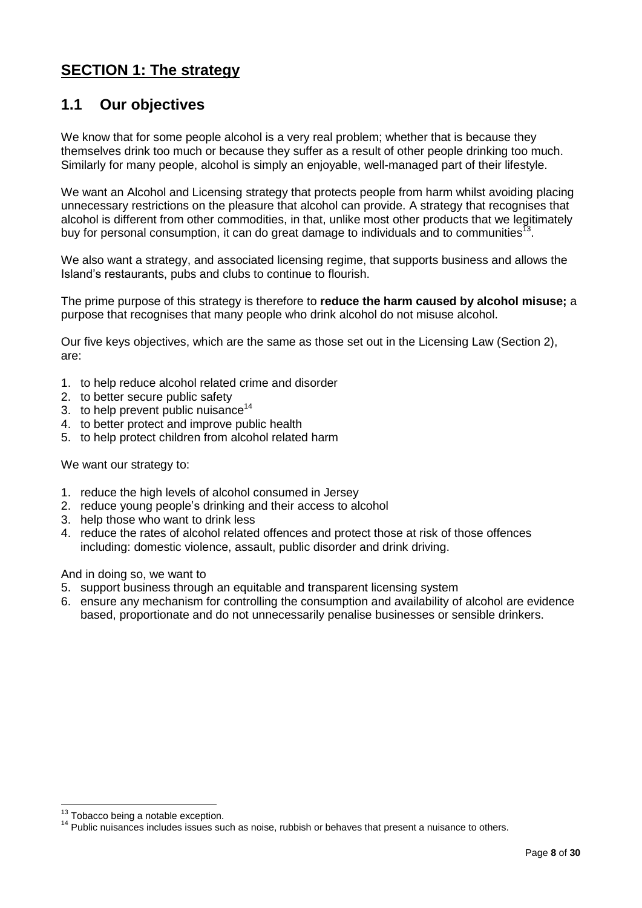# **SECTION 1: The strategy**

# **1.1 Our objectives**

We know that for some people alcohol is a very real problem; whether that is because they themselves drink too much or because they suffer as a result of other people drinking too much. Similarly for many people, alcohol is simply an enjoyable, well-managed part of their lifestyle.

We want an Alcohol and Licensing strategy that protects people from harm whilst avoiding placing unnecessary restrictions on the pleasure that alcohol can provide. A strategy that recognises that alcohol is different from other commodities, in that, unlike most other products that we legitimately buy for personal consumption, it can do great damage to individuals and to communities<sup>13</sup>.

We also want a strategy, and associated licensing regime, that supports business and allows the Island's restaurants, pubs and clubs to continue to flourish.

The prime purpose of this strategy is therefore to **reduce the harm caused by alcohol misuse;** a purpose that recognises that many people who drink alcohol do not misuse alcohol.

Our five keys objectives, which are the same as those set out in the Licensing Law (Section 2), are:

- 1. to help reduce alcohol related crime and disorder
- 2. to better secure public safety
- 3. to help prevent public nuisance $14$
- 4. to better protect and improve public health
- 5. to help protect children from alcohol related harm

We want our strategy to:

- 1. reduce the high levels of alcohol consumed in Jersey
- 2. reduce young people's drinking and their access to alcohol
- 3. help those who want to drink less
- 4. reduce the rates of alcohol related offences and protect those at risk of those offences including: domestic violence, assault, public disorder and drink driving.

And in doing so, we want to

- 5. support business through an equitable and transparent licensing system
- 6. ensure any mechanism for controlling the consumption and availability of alcohol are evidence based, proportionate and do not unnecessarily penalise businesses or sensible drinkers.

 $\overline{a}$  $13$  Tobacco being a notable exception.

<sup>&</sup>lt;sup>14</sup> Public nuisances includes issues such as noise, rubbish or behaves that present a nuisance to others.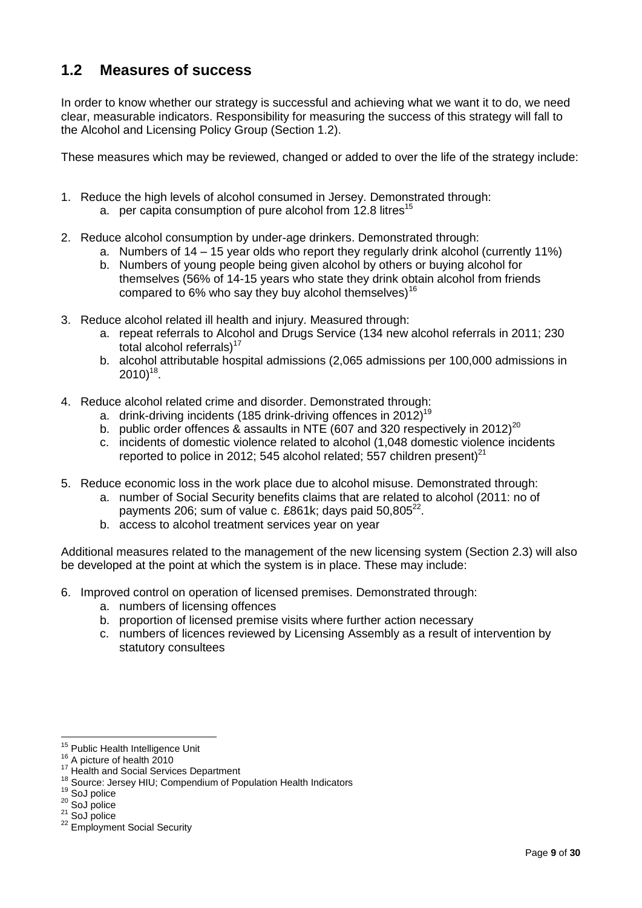# **1.2 Measures of success**

In order to know whether our strategy is successful and achieving what we want it to do, we need clear, measurable indicators. Responsibility for measuring the success of this strategy will fall to the Alcohol and Licensing Policy Group (Section 1.2).

These measures which may be reviewed, changed or added to over the life of the strategy include:

- 1. Reduce the high levels of alcohol consumed in Jersey. Demonstrated through:
	- a. per capita consumption of pure alcohol from  $12.8$  litres<sup>15</sup>
- 2. Reduce alcohol consumption by under-age drinkers. Demonstrated through:
	- a. Numbers of 14 15 year olds who report they regularly drink alcohol (currently 11%)
	- b. Numbers of young people being given alcohol by others or buying alcohol for themselves (56% of 14-15 years who state they drink obtain alcohol from friends compared to 6% who say they buy alcohol themselves)<sup>16</sup>
- 3. Reduce alcohol related ill health and injury. Measured through:
	- a. repeat referrals to Alcohol and Drugs Service (134 new alcohol referrals in 2011; 230 total alcohol referrals)<sup>17</sup>
	- b. alcohol attributable hospital admissions (2,065 admissions per 100,000 admissions in  $2010)^{18}$ .
- 4. Reduce alcohol related crime and disorder. Demonstrated through:
	- a. drink-driving incidents (185 drink-driving offences in 2012)<sup>19</sup>
	- b. public order offences & assaults in NTE (607 and 320 respectively in 2012)<sup>20</sup>
	- c. incidents of domestic violence related to alcohol (1,048 domestic violence incidents reported to police in 2012; 545 alcohol related; 557 children present)<sup>21</sup>
- 5. Reduce economic loss in the work place due to alcohol misuse. Demonstrated through:
	- a. number of Social Security benefits claims that are related to alcohol (2011: no of payments 206; sum of value c. £861k; days paid 50,805 $^{22}$ .
	- b. access to alcohol treatment services year on year

Additional measures related to the management of the new licensing system (Section 2.3) will also be developed at the point at which the system is in place. These may include:

- 6. Improved control on operation of licensed premises. Demonstrated through:
	- a. numbers of licensing offences
	- b. proportion of licensed premise visits where further action necessary
	- c. numbers of licences reviewed by Licensing Assembly as a result of intervention by statutory consultees

 $\overline{a}$ 

<sup>&</sup>lt;sup>15</sup> Public Health Intelligence Unit

<sup>&</sup>lt;sup>16</sup> A picture of health 2010

<sup>&</sup>lt;sup>17</sup> Health and Social Services Department

<sup>18</sup> Source: Jersey HIU; Compendium of Population Health Indicators

<sup>19</sup> SoJ police

 $20$  SoJ police

<sup>&</sup>lt;sup>21</sup> SoJ police

<sup>22</sup> Employment Social Security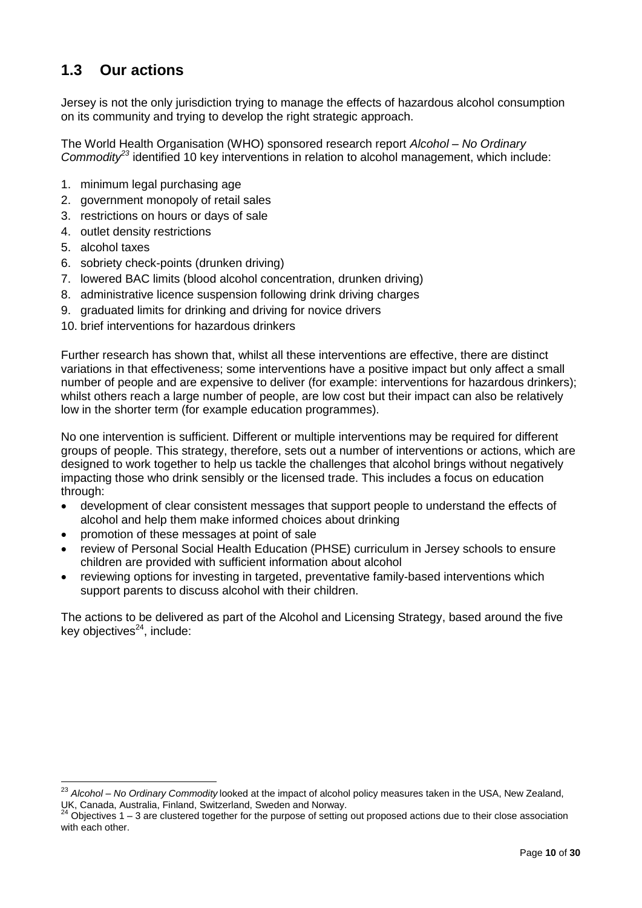# **1.3 Our actions**

Jersey is not the only jurisdiction trying to manage the effects of hazardous alcohol consumption on its community and trying to develop the right strategic approach.

The World Health Organisation (WHO) sponsored research report *Alcohol – No Ordinary Commodity<sup>23</sup>* identified 10 key interventions in relation to alcohol management, which include:

- 1. minimum legal purchasing age
- 2. government monopoly of retail sales
- 3. restrictions on hours or days of sale
- 4. outlet density restrictions
- 5. alcohol taxes

 $\overline{a}$ 

- 6. sobriety check-points (drunken driving)
- 7. lowered BAC limits (blood alcohol concentration, drunken driving)
- 8. administrative licence suspension following drink driving charges
- 9. graduated limits for drinking and driving for novice drivers
- 10. brief interventions for hazardous drinkers

Further research has shown that, whilst all these interventions are effective, there are distinct variations in that effectiveness; some interventions have a positive impact but only affect a small number of people and are expensive to deliver (for example: interventions for hazardous drinkers); whilst others reach a large number of people, are low cost but their impact can also be relatively low in the shorter term (for example education programmes).

No one intervention is sufficient. Different or multiple interventions may be required for different groups of people. This strategy, therefore, sets out a number of interventions or actions, which are designed to work together to help us tackle the challenges that alcohol brings without negatively impacting those who drink sensibly or the licensed trade. This includes a focus on education through:

- development of clear consistent messages that support people to understand the effects of alcohol and help them make informed choices about drinking
- promotion of these messages at point of sale
- review of Personal Social Health Education (PHSE) curriculum in Jersey schools to ensure children are provided with sufficient information about alcohol
- reviewing options for investing in targeted, preventative family-based interventions which support parents to discuss alcohol with their children.

The actions to be delivered as part of the Alcohol and Licensing Strategy, based around the five key objectives<sup>24</sup>, include:

<sup>23</sup> *Alcohol – No Ordinary Commodity* looked at the impact of alcohol policy measures taken in the USA, New Zealand, UK, Canada, Australia, Finland, Switzerland, Sweden and Norway.

 $^{24}$  Objectives 1 – 3 are clustered together for the purpose of setting out proposed actions due to their close association with each other.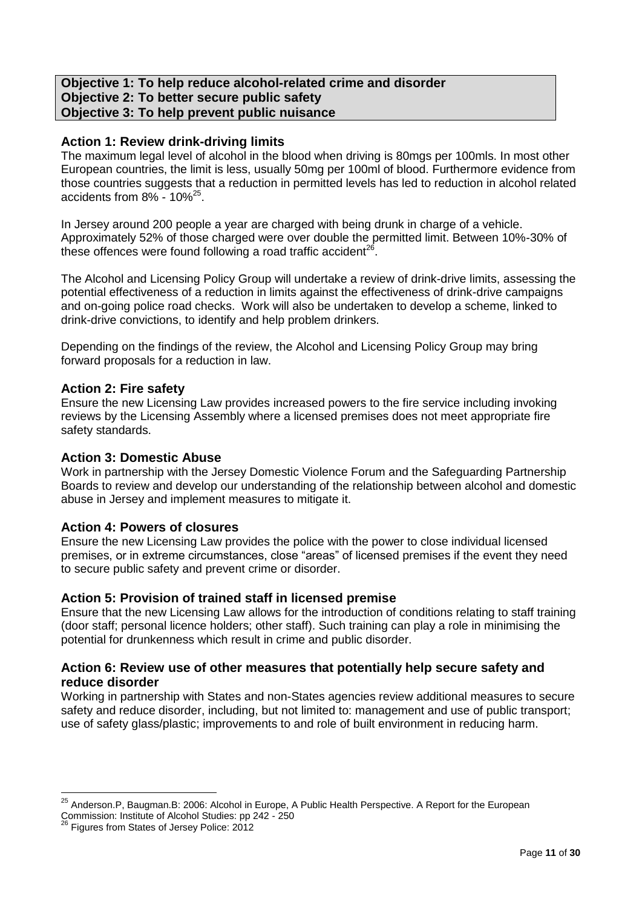## **Objective 1: To help reduce alcohol-related crime and disorder Objective 2: To better secure public safety Objective 3: To help prevent public nuisance**

## **Action 1: Review drink-driving limits**

The maximum legal level of alcohol in the blood when driving is 80mgs per 100mls. In most other European countries, the limit is less, usually 50mg per 100ml of blood. Furthermore evidence from those countries suggests that a reduction in permitted levels has led to reduction in alcohol related accidents from  $8\%$  -  $10\%^{25}$ .

In Jersey around 200 people a year are charged with being drunk in charge of a vehicle. Approximately 52% of those charged were over double the permitted limit. Between 10%-30% of these offences were found following a road traffic accident<sup>26</sup>.

The Alcohol and Licensing Policy Group will undertake a review of drink-drive limits, assessing the potential effectiveness of a reduction in limits against the effectiveness of drink-drive campaigns and on-going police road checks. Work will also be undertaken to develop a scheme, linked to drink-drive convictions, to identify and help problem drinkers.

Depending on the findings of the review, the Alcohol and Licensing Policy Group may bring forward proposals for a reduction in law.

#### **Action 2: Fire safety**

Ensure the new Licensing Law provides increased powers to the fire service including invoking reviews by the Licensing Assembly where a licensed premises does not meet appropriate fire safety standards.

#### **Action 3: Domestic Abuse**

Work in partnership with the Jersey Domestic Violence Forum and the Safeguarding Partnership Boards to review and develop our understanding of the relationship between alcohol and domestic abuse in Jersey and implement measures to mitigate it.

### **Action 4: Powers of closures**

Ensure the new Licensing Law provides the police with the power to close individual licensed premises, or in extreme circumstances, close "areas" of licensed premises if the event they need to secure public safety and prevent crime or disorder.

### **Action 5: Provision of trained staff in licensed premise**

Ensure that the new Licensing Law allows for the introduction of conditions relating to staff training (door staff; personal licence holders; other staff). Such training can play a role in minimising the potential for drunkenness which result in crime and public disorder.

### **Action 6: Review use of other measures that potentially help secure safety and reduce disorder**

Working in partnership with States and non-States agencies review additional measures to secure safety and reduce disorder, including, but not limited to: management and use of public transport; use of safety glass/plastic; improvements to and role of built environment in reducing harm.

 $\overline{a}$ 

<sup>&</sup>lt;sup>25</sup> Anderson.P, Baugman.B: 2006: Alcohol in Europe, A Public Health Perspective. A Report for the European Commission: Institute of Alcohol Studies: pp 242 - 250

<sup>&</sup>lt;sup>26</sup> Figures from States of Jersey Police: 2012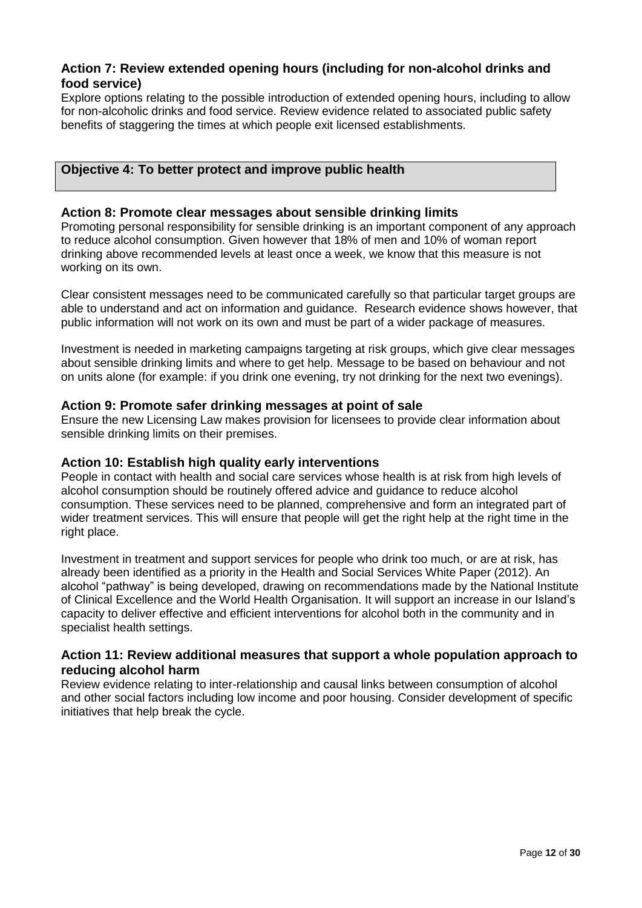## **Action 7: Review extended opening hours (including for non-alcohol drinks and food service)**

Explore options relating to the possible introduction of extended opening hours, including to allow for non-alcoholic drinks and food service. Review evidence related to associated public safety benefits of staggering the times at which people exit licensed establishments.

## **Objective 4: To better protect and improve public health**

## **Action 8: Promote clear messages about sensible drinking limits**

Promoting personal responsibility for sensible drinking is an important component of any approach to reduce alcohol consumption. Given however that 18% of men and 10% of woman report drinking above recommended levels at least once a week, we know that this measure is not working on its own.

Clear consistent messages need to be communicated carefully so that particular target groups are able to understand and act on information and guidance. Research evidence shows however, that public information will not work on its own and must be part of a wider package of measures.

Investment is needed in marketing campaigns targeting at risk groups, which give clear messages about sensible drinking limits and where to get help. Message to be based on behaviour and not on units alone (for example: if you drink one evening, try not drinking for the next two evenings).

### **Action 9: Promote safer drinking messages at point of sale**

Ensure the new Licensing Law makes provision for licensees to provide clear information about sensible drinking limits on their premises.

### **Action 10: Establish high quality early interventions**

People in contact with health and social care services whose health is at risk from high levels of alcohol consumption should be routinely offered advice and guidance to reduce alcohol consumption. These services need to be planned, comprehensive and form an integrated part of wider treatment services. This will ensure that people will get the right help at the right time in the right place.

Investment in treatment and support services for people who drink too much, or are at risk, has already been identified as a priority in the Health and Social Services White Paper (2012). An alcohol "pathway" is being developed, drawing on recommendations made by the National Institute of Clinical Excellence and the World Health Organisation. It will support an increase in our Island's capacity to deliver effective and efficient interventions for alcohol both in the community and in specialist health settings.

### **Action 11: Review additional measures that support a whole population approach to reducing alcohol harm**

Review evidence relating to inter-relationship and causal links between consumption of alcohol and other social factors including low income and poor housing. Consider development of specific initiatives that help break the cycle.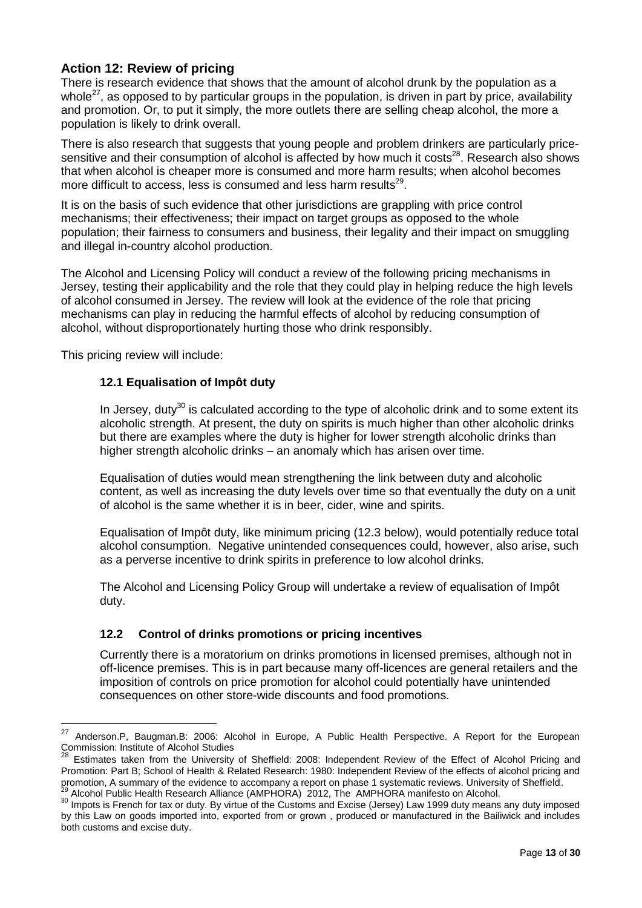# **Action 12: Review of pricing**

There is research evidence that shows that the amount of alcohol drunk by the population as a whole<sup>27</sup>, as opposed to by particular groups in the population, is driven in part by price, availability and promotion. Or, to put it simply, the more outlets there are selling cheap alcohol, the more a population is likely to drink overall.

There is also research that suggests that young people and problem drinkers are particularly pricesensitive and their consumption of alcohol is affected by how much it costs $^{28}$ . Research also shows that when alcohol is cheaper more is consumed and more harm results; when alcohol becomes more difficult to access, less is consumed and less harm results<sup>29</sup>.

It is on the basis of such evidence that other jurisdictions are grappling with price control mechanisms; their effectiveness; their impact on target groups as opposed to the whole population; their fairness to consumers and business, their legality and their impact on smuggling and illegal in-country alcohol production.

The Alcohol and Licensing Policy will conduct a review of the following pricing mechanisms in Jersey, testing their applicability and the role that they could play in helping reduce the high levels of alcohol consumed in Jersey. The review will look at the evidence of the role that pricing mechanisms can play in reducing the harmful effects of alcohol by reducing consumption of alcohol, without disproportionately hurting those who drink responsibly.

This pricing review will include:

### **12.1 Equalisation of Impôt duty**

In Jersey, duty<sup>30</sup> is calculated according to the type of alcoholic drink and to some extent its alcoholic strength. At present, the duty on spirits is much higher than other alcoholic drinks but there are examples where the duty is higher for lower strength alcoholic drinks than higher strength alcoholic drinks – an anomaly which has arisen over time.

Equalisation of duties would mean strengthening the link between duty and alcoholic content, as well as increasing the duty levels over time so that eventually the duty on a unit of alcohol is the same whether it is in beer, cider, wine and spirits.

Equalisation of Impôt duty, like minimum pricing (12.3 below), would potentially reduce total alcohol consumption. Negative unintended consequences could, however, also arise, such as a perverse incentive to drink spirits in preference to low alcohol drinks.

The Alcohol and Licensing Policy Group will undertake a review of equalisation of Impôt duty.

### **12.2 Control of drinks promotions or pricing incentives**

Currently there is a moratorium on drinks promotions in licensed premises, although not in off-licence premises. This is in part because many off-licences are general retailers and the imposition of controls on price promotion for alcohol could potentially have unintended consequences on other store-wide discounts and food promotions.

 $27\,$ Anderson.P, Baugman.B: 2006: Alcohol in Europe, A Public Health Perspective. A Report for the European Commission: Institute of Alcohol Studies

<sup>28</sup> Estimates taken from the University of Sheffield: 2008: Independent Review of the Effect of Alcohol Pricing and Promotion: Part B; School of Health & Related Research: 1980: Independent Review of the effects of alcohol pricing and promotion, A summary of the evidence to accompany a report on phase 1 systematic reviews. University of Sheffield.

<sup>&</sup>lt;sup>29</sup> Alcohol Public Health Research Alliance (AMPHORA) 2012, The AMPHORA manifesto on Alcohol.

 $30$  Impots is French for tax or duty. By virtue of the Customs and Excise (Jersey) Law 1999 duty means any duty imposed by this Law on goods imported into, exported from or grown , produced or manufactured in the Bailiwick and includes both customs and excise duty.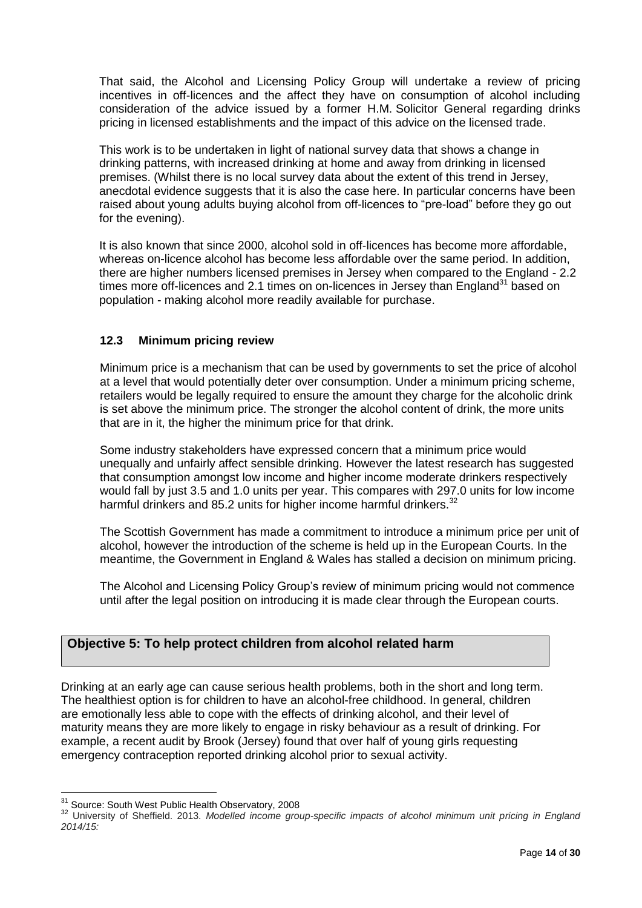That said, the Alcohol and Licensing Policy Group will undertake a review of pricing incentives in off-licences and the affect they have on consumption of alcohol including consideration of the advice issued by a former H.M. Solicitor General regarding drinks pricing in licensed establishments and the impact of this advice on the licensed trade.

This work is to be undertaken in light of national survey data that shows a change in drinking patterns, with increased drinking at home and away from drinking in licensed premises. (Whilst there is no local survey data about the extent of this trend in Jersey, anecdotal evidence suggests that it is also the case here. In particular concerns have been raised about young adults buying alcohol from off-licences to "pre-load" before they go out for the evening).

It is also known that since 2000, alcohol sold in off-licences has become more affordable, whereas on-licence alcohol has become less affordable over the same period. In addition, there are higher numbers licensed premises in Jersey when compared to the England - 2.2 times more off-licences and 2.1 times on on-licences in Jersey than England<sup>31</sup> based on population - making alcohol more readily available for purchase.

## **12.3 Minimum pricing review**

Minimum price is a mechanism that can be used by governments to set the price of alcohol at a level that would potentially deter over consumption. Under a minimum pricing scheme, retailers would be legally required to ensure the amount they charge for the alcoholic drink is set above the minimum price. The stronger the alcohol content of drink, the more units that are in it, the higher the minimum price for that drink.

Some industry stakeholders have expressed concern that a minimum price would unequally and unfairly affect sensible drinking. However the latest research has suggested that consumption amongst low income and higher income moderate drinkers respectively would fall by just 3.5 and 1.0 units per year. This compares with 297.0 units for low income harmful drinkers and 85.2 units for higher income harmful drinkers.<sup>32</sup>

The Scottish Government has made a commitment to introduce a minimum price per unit of alcohol, however the introduction of the scheme is held up in the European Courts. In the meantime, the Government in England & Wales has stalled a decision on minimum pricing.

The Alcohol and Licensing Policy Group's review of minimum pricing would not commence until after the legal position on introducing it is made clear through the European courts.

## **Objective 5: To help protect children from alcohol related harm**

Drinking at an early age can cause serious health problems, both in the short and long term. The healthiest option is for children to have an alcohol-free childhood. In general, children are emotionally less able to cope with the effects of drinking alcohol, and their level of maturity means they are more likely to engage in risky behaviour as a result of drinking. For example, a recent audit by Brook (Jersey) found that over half of young girls requesting emergency contraception reported drinking alcohol prior to sexual activity.

 $\overline{a}$ 

<sup>&</sup>lt;sup>31</sup> Source: South West Public Health Observatory, 2008

<sup>32</sup> University of Sheffield. 2013. *Modelled income group-specific impacts of alcohol minimum unit pricing in England 2014/15:*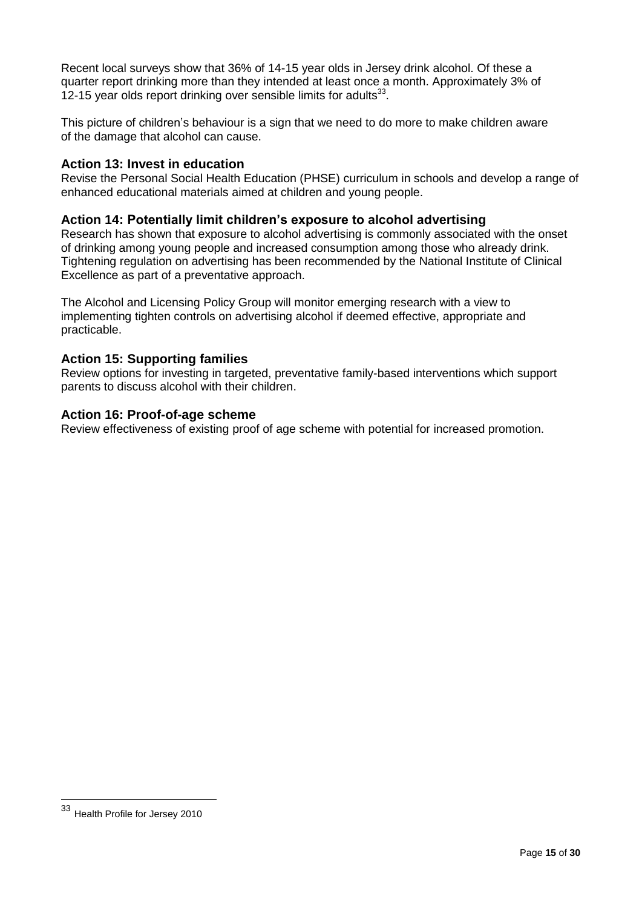Recent local surveys show that 36% of 14-15 year olds in Jersey drink alcohol. Of these a quarter report drinking more than they intended at least once a month. Approximately 3% of 12-15 year olds report drinking over sensible limits for adults $^{33}$ .

This picture of children's behaviour is a sign that we need to do more to make children aware of the damage that alcohol can cause.

## **Action 13: Invest in education**

Revise the Personal Social Health Education (PHSE) curriculum in schools and develop a range of enhanced educational materials aimed at children and young people.

## **Action 14: Potentially limit children's exposure to alcohol advertising**

Research has shown that exposure to alcohol advertising is commonly associated with the onset of drinking among young people and increased consumption among those who already drink. Tightening regulation on advertising has been recommended by the National Institute of Clinical Excellence as part of a preventative approach.

The Alcohol and Licensing Policy Group will monitor emerging research with a view to implementing tighten controls on advertising alcohol if deemed effective, appropriate and practicable.

### **Action 15: Supporting families**

Review options for investing in targeted, preventative family-based interventions which support parents to discuss alcohol with their children.

### **Action 16: Proof-of-age scheme**

Review effectiveness of existing proof of age scheme with potential for increased promotion.

 $\overline{a}$ 

<sup>&</sup>lt;sup>33</sup> Health Profile for Jersey 2010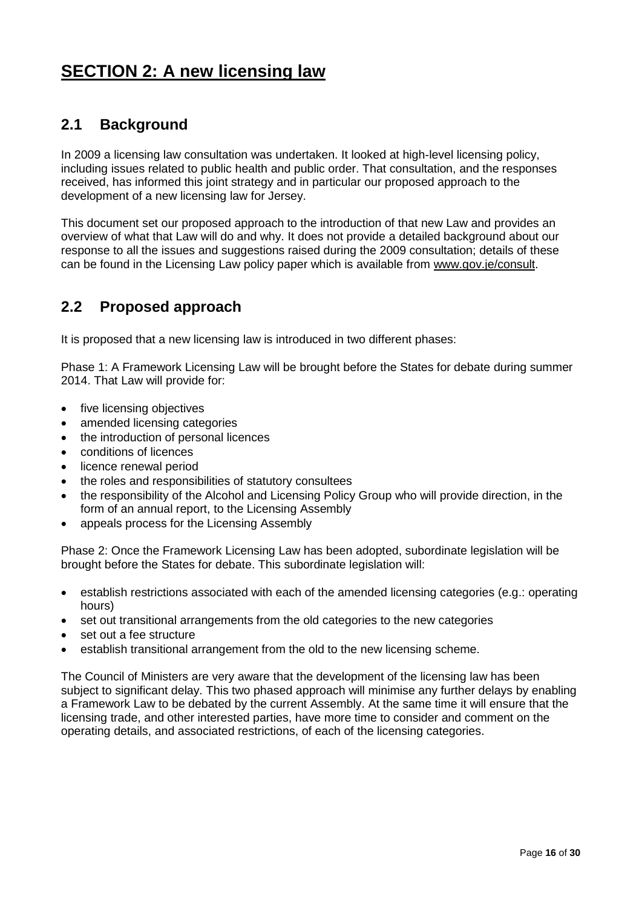# **SECTION 2: A new licensing law**

# **2.1 Background**

In 2009 a licensing law consultation was undertaken. It looked at high-level licensing policy, including issues related to public health and public order. That consultation, and the responses received, has informed this joint strategy and in particular our proposed approach to the development of a new licensing law for Jersey.

This document set our proposed approach to the introduction of that new Law and provides an overview of what that Law will do and why. It does not provide a detailed background about our response to all the issues and suggestions raised during the 2009 consultation; details of these can be found in the Licensing Law policy paper which is available from www.gov.je/consult.

# **2.2 Proposed approach**

It is proposed that a new licensing law is introduced in two different phases:

Phase 1: A Framework Licensing Law will be brought before the States for debate during summer 2014. That Law will provide for:

- five licensing objectives
- amended licensing categories
- the introduction of personal licences
- conditions of licences
- licence renewal period
- the roles and responsibilities of statutory consultees
- the responsibility of the Alcohol and Licensing Policy Group who will provide direction, in the form of an annual report, to the Licensing Assembly
- appeals process for the Licensing Assembly

Phase 2: Once the Framework Licensing Law has been adopted, subordinate legislation will be brought before the States for debate. This subordinate legislation will:

- establish restrictions associated with each of the amended licensing categories (e.g.: operating hours)
- set out transitional arrangements from the old categories to the new categories
- set out a fee structure
- establish transitional arrangement from the old to the new licensing scheme.

The Council of Ministers are very aware that the development of the licensing law has been subject to significant delay. This two phased approach will minimise any further delays by enabling a Framework Law to be debated by the current Assembly. At the same time it will ensure that the licensing trade, and other interested parties, have more time to consider and comment on the operating details, and associated restrictions, of each of the licensing categories.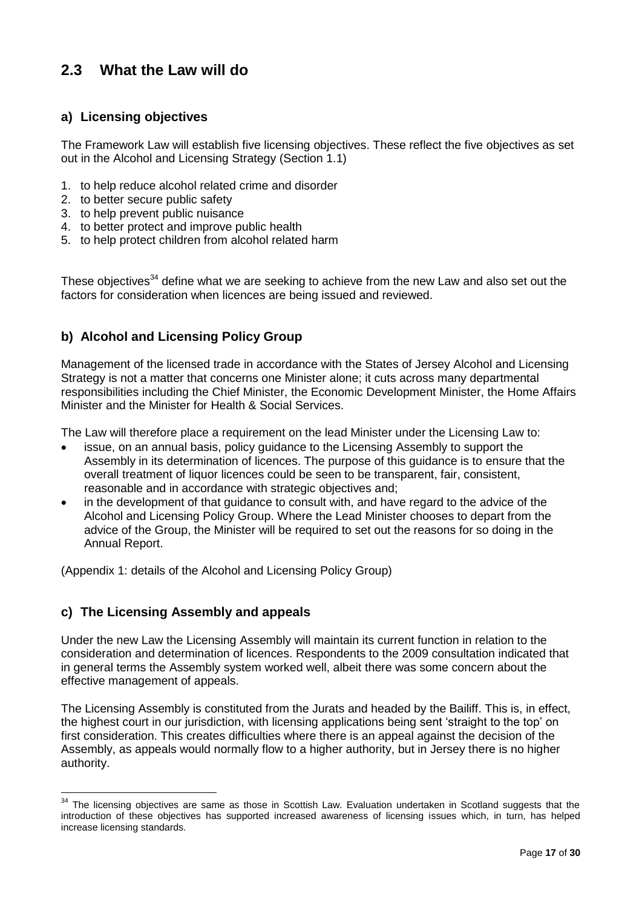# **2.3 What the Law will do**

# **a) Licensing objectives**

The Framework Law will establish five licensing objectives. These reflect the five objectives as set out in the Alcohol and Licensing Strategy (Section 1.1)

- 1. to help reduce alcohol related crime and disorder
- 2. to better secure public safety
- 3. to help prevent public nuisance
- 4. to better protect and improve public health
- 5. to help protect children from alcohol related harm

These obiectives<sup>34</sup> define what we are seeking to achieve from the new Law and also set out the factors for consideration when licences are being issued and reviewed.

## **b) Alcohol and Licensing Policy Group**

Management of the licensed trade in accordance with the States of Jersey Alcohol and Licensing Strategy is not a matter that concerns one Minister alone; it cuts across many departmental responsibilities including the Chief Minister, the Economic Development Minister, the Home Affairs Minister and the Minister for Health & Social Services.

The Law will therefore place a requirement on the lead Minister under the Licensing Law to:

- issue, on an annual basis, policy guidance to the Licensing Assembly to support the Assembly in its determination of licences. The purpose of this guidance is to ensure that the overall treatment of liquor licences could be seen to be transparent, fair, consistent, reasonable and in accordance with strategic objectives and;
- in the development of that guidance to consult with, and have regard to the advice of the Alcohol and Licensing Policy Group. Where the Lead Minister chooses to depart from the advice of the Group, the Minister will be required to set out the reasons for so doing in the Annual Report.

(Appendix 1: details of the Alcohol and Licensing Policy Group)

### **c) The Licensing Assembly and appeals**

 $\overline{a}$ 

Under the new Law the Licensing Assembly will maintain its current function in relation to the consideration and determination of licences. Respondents to the 2009 consultation indicated that in general terms the Assembly system worked well, albeit there was some concern about the effective management of appeals.

The Licensing Assembly is constituted from the Jurats and headed by the Bailiff. This is, in effect, the highest court in our jurisdiction, with licensing applications being sent 'straight to the top' on first consideration. This creates difficulties where there is an appeal against the decision of the Assembly, as appeals would normally flow to a higher authority, but in Jersey there is no higher authority.

 $34$  The licensing objectives are same as those in Scottish Law. Evaluation undertaken in Scotland suggests that the introduction of these objectives has supported increased awareness of licensing issues which, in turn, has helped increase licensing standards.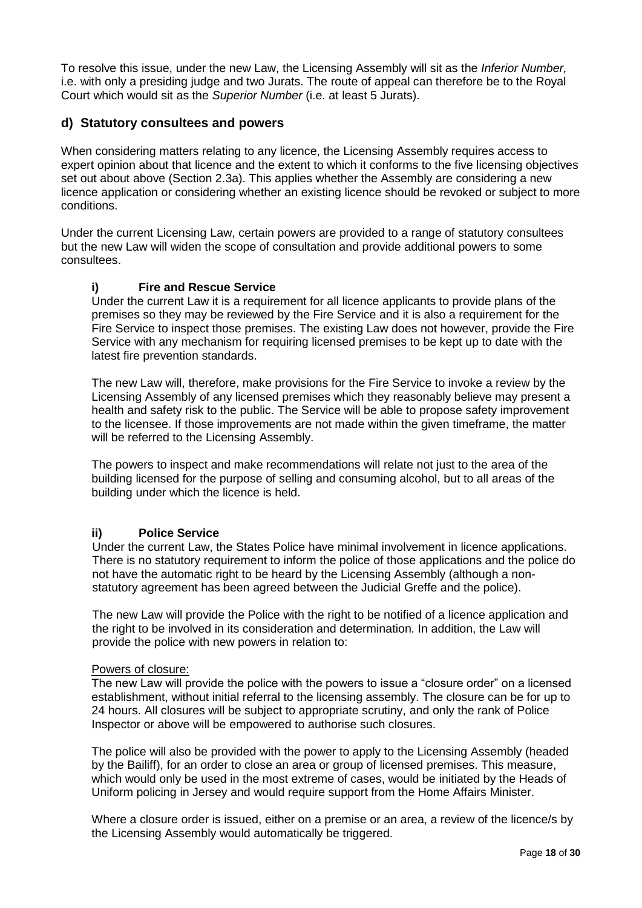To resolve this issue, under the new Law, the Licensing Assembly will sit as the *Inferior Number,*  i.e. with only a presiding judge and two Jurats. The route of appeal can therefore be to the Royal Court which would sit as the *Superior Number* (i.e. at least 5 Jurats).

## **d) Statutory consultees and powers**

When considering matters relating to any licence, the Licensing Assembly requires access to expert opinion about that licence and the extent to which it conforms to the five licensing objectives set out about above (Section 2.3a). This applies whether the Assembly are considering a new licence application or considering whether an existing licence should be revoked or subject to more conditions.

Under the current Licensing Law, certain powers are provided to a range of statutory consultees but the new Law will widen the scope of consultation and provide additional powers to some consultees.

#### **i) Fire and Rescue Service**

Under the current Law it is a requirement for all licence applicants to provide plans of the premises so they may be reviewed by the Fire Service and it is also a requirement for the Fire Service to inspect those premises. The existing Law does not however, provide the Fire Service with any mechanism for requiring licensed premises to be kept up to date with the latest fire prevention standards.

The new Law will, therefore, make provisions for the Fire Service to invoke a review by the Licensing Assembly of any licensed premises which they reasonably believe may present a health and safety risk to the public. The Service will be able to propose safety improvement to the licensee. If those improvements are not made within the given timeframe, the matter will be referred to the Licensing Assembly.

The powers to inspect and make recommendations will relate not just to the area of the building licensed for the purpose of selling and consuming alcohol, but to all areas of the building under which the licence is held.

#### **ii) Police Service**

Under the current Law, the States Police have minimal involvement in licence applications. There is no statutory requirement to inform the police of those applications and the police do not have the automatic right to be heard by the Licensing Assembly (although a nonstatutory agreement has been agreed between the Judicial Greffe and the police).

The new Law will provide the Police with the right to be notified of a licence application and the right to be involved in its consideration and determination. In addition, the Law will provide the police with new powers in relation to:

#### Powers of closure:

The new Law will provide the police with the powers to issue a "closure order" on a licensed establishment, without initial referral to the licensing assembly. The closure can be for up to 24 hours. All closures will be subject to appropriate scrutiny, and only the rank of Police Inspector or above will be empowered to authorise such closures.

The police will also be provided with the power to apply to the Licensing Assembly (headed by the Bailiff), for an order to close an area or group of licensed premises. This measure, which would only be used in the most extreme of cases, would be initiated by the Heads of Uniform policing in Jersey and would require support from the Home Affairs Minister.

Where a closure order is issued, either on a premise or an area, a review of the licence/s by the Licensing Assembly would automatically be triggered.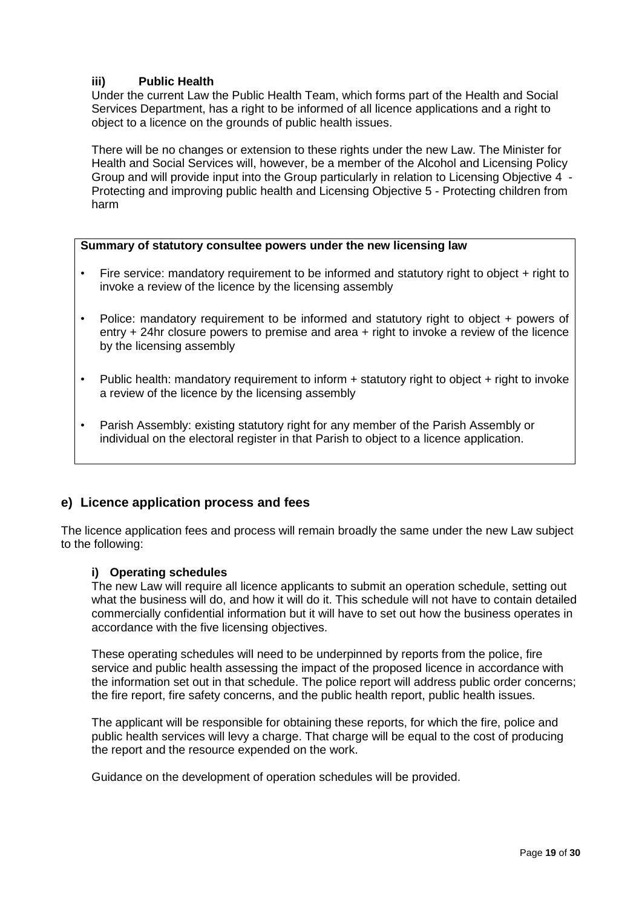## **iii) Public Health**

Under the current Law the Public Health Team, which forms part of the Health and Social Services Department, has a right to be informed of all licence applications and a right to object to a licence on the grounds of public health issues.

There will be no changes or extension to these rights under the new Law. The Minister for Health and Social Services will, however, be a member of the Alcohol and Licensing Policy Group and will provide input into the Group particularly in relation to Licensing Objective 4 - Protecting and improving public health and Licensing Objective 5 - Protecting children from harm

#### **Summary of statutory consultee powers under the new licensing law**

- Fire service: mandatory requirement to be informed and statutory right to object + right to invoke a review of the licence by the licensing assembly
- Police: mandatory requirement to be informed and statutory right to object + powers of entry + 24hr closure powers to premise and area + right to invoke a review of the licence by the licensing assembly
- Public health: mandatory requirement to inform + statutory right to object + right to invoke a review of the licence by the licensing assembly
- Parish Assembly: existing statutory right for any member of the Parish Assembly or individual on the electoral register in that Parish to object to a licence application.

## **e) Licence application process and fees**

The licence application fees and process will remain broadly the same under the new Law subject to the following:

### **i) Operating schedules**

The new Law will require all licence applicants to submit an operation schedule, setting out what the business will do, and how it will do it. This schedule will not have to contain detailed commercially confidential information but it will have to set out how the business operates in accordance with the five licensing objectives.

These operating schedules will need to be underpinned by reports from the police, fire service and public health assessing the impact of the proposed licence in accordance with the information set out in that schedule. The police report will address public order concerns; the fire report, fire safety concerns, and the public health report, public health issues.

The applicant will be responsible for obtaining these reports, for which the fire, police and public health services will levy a charge. That charge will be equal to the cost of producing the report and the resource expended on the work.

Guidance on the development of operation schedules will be provided.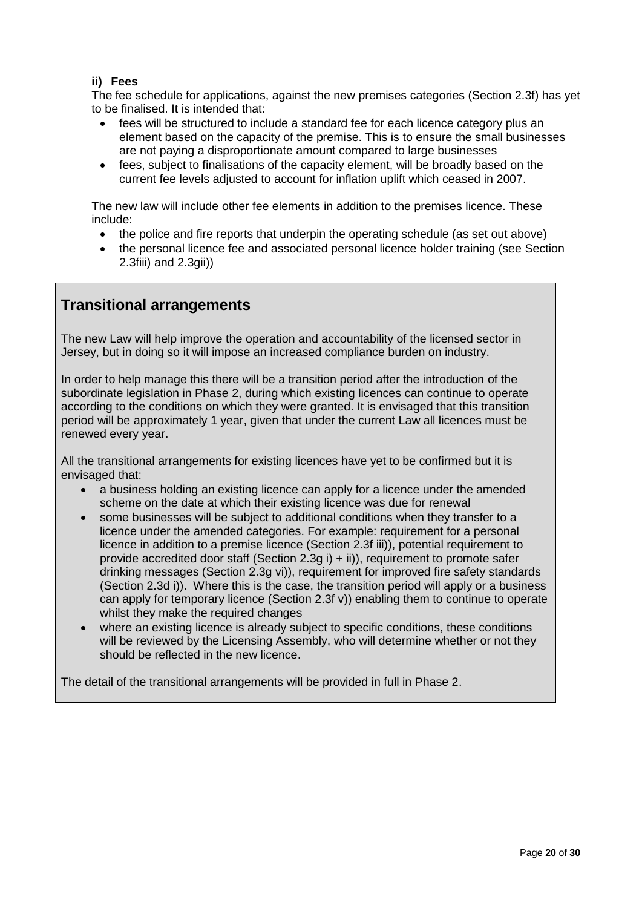## **ii) Fees**

The fee schedule for applications, against the new premises categories (Section 2.3f) has yet to be finalised. It is intended that:

- fees will be structured to include a standard fee for each licence category plus an element based on the capacity of the premise. This is to ensure the small businesses are not paying a disproportionate amount compared to large businesses
- fees, subject to finalisations of the capacity element, will be broadly based on the current fee levels adjusted to account for inflation uplift which ceased in 2007.

The new law will include other fee elements in addition to the premises licence. These include:

- the police and fire reports that underpin the operating schedule (as set out above)
- the personal licence fee and associated personal licence holder training (see Section 2.3fiii) and 2.3gii))

# **Transitional arrangements**

The new Law will help improve the operation and accountability of the licensed sector in Jersey, but in doing so it will impose an increased compliance burden on industry.

In order to help manage this there will be a transition period after the introduction of the subordinate legislation in Phase 2, during which existing licences can continue to operate according to the conditions on which they were granted. It is envisaged that this transition period will be approximately 1 year, given that under the current Law all licences must be renewed every year.

All the transitional arrangements for existing licences have yet to be confirmed but it is envisaged that:

- a business holding an existing licence can apply for a licence under the amended scheme on the date at which their existing licence was due for renewal
- some businesses will be subject to additional conditions when they transfer to a licence under the amended categories. For example: requirement for a personal licence in addition to a premise licence (Section 2.3f iii)), potential requirement to provide accredited door staff (Section 2.3g i) + ii)), requirement to promote safer drinking messages (Section 2.3g vi)), requirement for improved fire safety standards (Section 2.3d i)). Where this is the case, the transition period will apply or a business can apply for temporary licence (Section 2.3f v)) enabling them to continue to operate whilst they make the required changes
- where an existing licence is already subject to specific conditions, these conditions will be reviewed by the Licensing Assembly, who will determine whether or not they should be reflected in the new licence.

The detail of the transitional arrangements will be provided in full in Phase 2.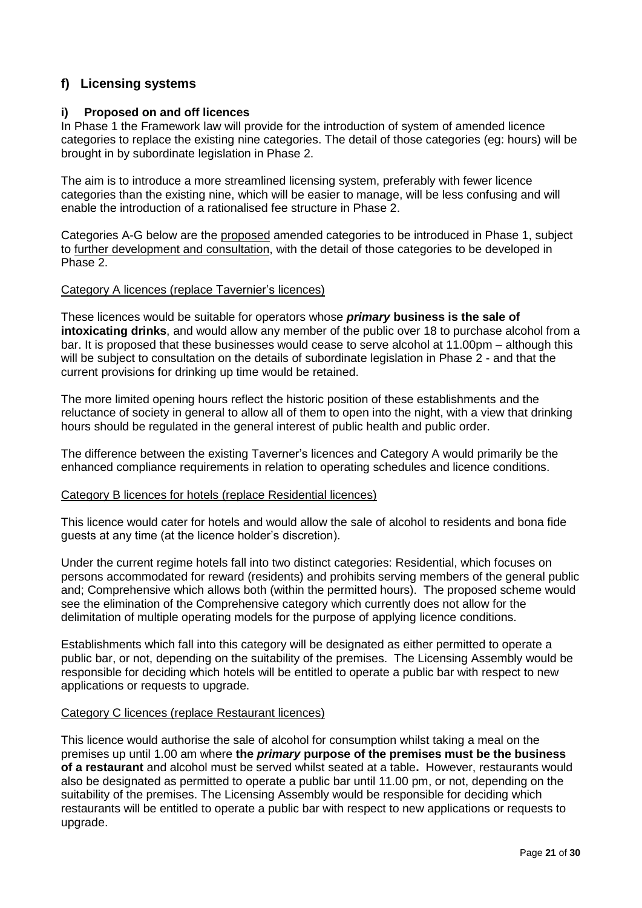# **f) Licensing systems**

#### **i) Proposed on and off licences**

In Phase 1 the Framework law will provide for the introduction of system of amended licence categories to replace the existing nine categories. The detail of those categories (eg: hours) will be brought in by subordinate legislation in Phase 2.

The aim is to introduce a more streamlined licensing system, preferably with fewer licence categories than the existing nine, which will be easier to manage, will be less confusing and will enable the introduction of a rationalised fee structure in Phase 2.

Categories A-G below are the proposed amended categories to be introduced in Phase 1, subject to further development and consultation, with the detail of those categories to be developed in Phase 2.

#### Category A licences (replace Tavernier's licences)

These licences would be suitable for operators whose *primary* **business is the sale of intoxicating drinks**, and would allow any member of the public over 18 to purchase alcohol from a bar. It is proposed that these businesses would cease to serve alcohol at 11.00pm – although this will be subject to consultation on the details of subordinate legislation in Phase 2 - and that the current provisions for drinking up time would be retained.

The more limited opening hours reflect the historic position of these establishments and the reluctance of society in general to allow all of them to open into the night, with a view that drinking hours should be regulated in the general interest of public health and public order.

The difference between the existing Taverner's licences and Category A would primarily be the enhanced compliance requirements in relation to operating schedules and licence conditions.

## Category B licences for hotels (replace Residential licences)

This licence would cater for hotels and would allow the sale of alcohol to residents and bona fide guests at any time (at the licence holder's discretion).

Under the current regime hotels fall into two distinct categories: Residential, which focuses on persons accommodated for reward (residents) and prohibits serving members of the general public and; Comprehensive which allows both (within the permitted hours). The proposed scheme would see the elimination of the Comprehensive category which currently does not allow for the delimitation of multiple operating models for the purpose of applying licence conditions.

Establishments which fall into this category will be designated as either permitted to operate a public bar, or not, depending on the suitability of the premises. The Licensing Assembly would be responsible for deciding which hotels will be entitled to operate a public bar with respect to new applications or requests to upgrade.

#### Category C licences (replace Restaurant licences)

This licence would authorise the sale of alcohol for consumption whilst taking a meal on the premises up until 1.00 am where **the** *primary* **purpose of the premises must be the business of a restaurant** and alcohol must be served whilst seated at a table**.** However, restaurants would also be designated as permitted to operate a public bar until 11.00 pm, or not, depending on the suitability of the premises. The Licensing Assembly would be responsible for deciding which restaurants will be entitled to operate a public bar with respect to new applications or requests to upgrade.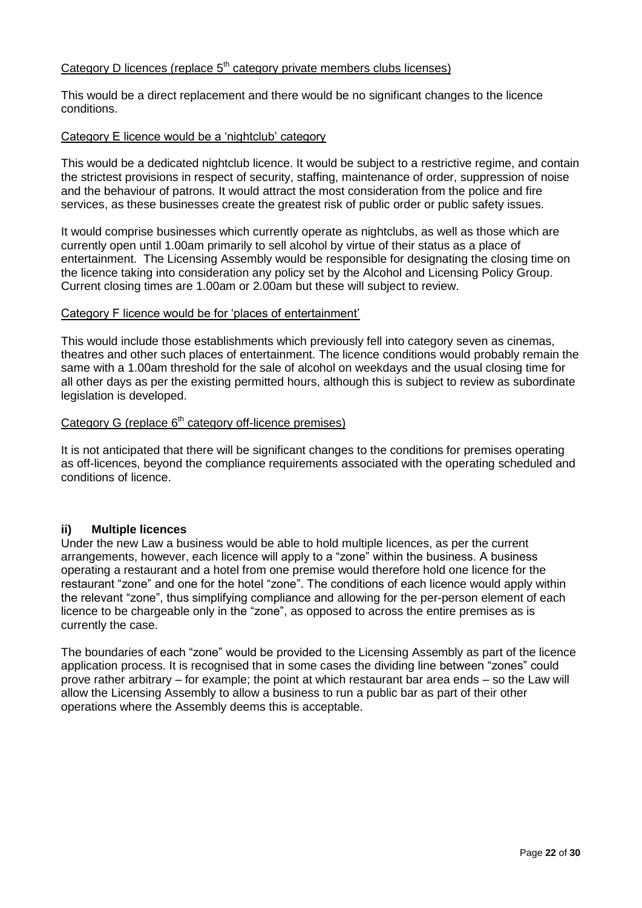### Category D licences (replace 5<sup>th</sup> category private members clubs licenses)

This would be a direct replacement and there would be no significant changes to the licence conditions.

#### Category E licence would be a 'nightclub' category

This would be a dedicated nightclub licence. It would be subject to a restrictive regime, and contain the strictest provisions in respect of security, staffing, maintenance of order, suppression of noise and the behaviour of patrons. It would attract the most consideration from the police and fire services, as these businesses create the greatest risk of public order or public safety issues.

It would comprise businesses which currently operate as nightclubs, as well as those which are currently open until 1.00am primarily to sell alcohol by virtue of their status as a place of entertainment. The Licensing Assembly would be responsible for designating the closing time on the licence taking into consideration any policy set by the Alcohol and Licensing Policy Group. Current closing times are 1.00am or 2.00am but these will subject to review.

#### Category F licence would be for 'places of entertainment'

This would include those establishments which previously fell into category seven as cinemas, theatres and other such places of entertainment. The licence conditions would probably remain the same with a 1.00am threshold for the sale of alcohol on weekdays and the usual closing time for all other days as per the existing permitted hours, although this is subject to review as subordinate legislation is developed.

#### Category G (replace 6<sup>th</sup> category off-licence premises)

It is not anticipated that there will be significant changes to the conditions for premises operating as off-licences, beyond the compliance requirements associated with the operating scheduled and conditions of licence.

#### **ii) Multiple licences**

Under the new Law a business would be able to hold multiple licences, as per the current arrangements, however, each licence will apply to a "zone" within the business. A business operating a restaurant and a hotel from one premise would therefore hold one licence for the restaurant "zone" and one for the hotel "zone". The conditions of each licence would apply within the relevant "zone", thus simplifying compliance and allowing for the per-person element of each licence to be chargeable only in the "zone", as opposed to across the entire premises as is currently the case.

The boundaries of each "zone" would be provided to the Licensing Assembly as part of the licence application process. It is recognised that in some cases the dividing line between "zones" could prove rather arbitrary – for example; the point at which restaurant bar area ends – so the Law will allow the Licensing Assembly to allow a business to run a public bar as part of their other operations where the Assembly deems this is acceptable.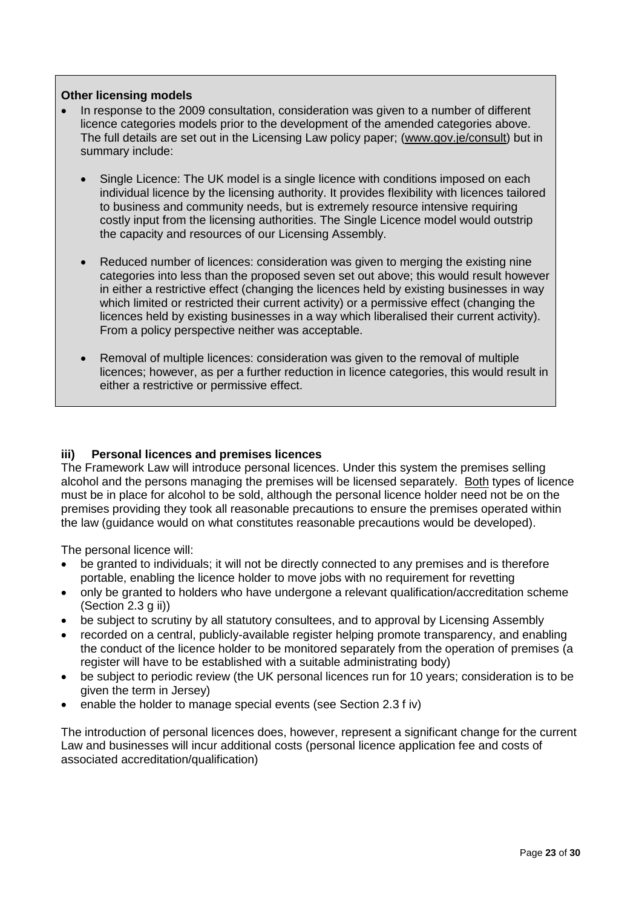#### **Other licensing models**

- In response to the 2009 consultation, consideration was given to a number of different licence categories models prior to the development of the amended categories above. The full details are set out in the Licensing Law policy paper; (www.gov.je/consult) but in summary include:
	- Single Licence: The UK model is a single licence with conditions imposed on each individual licence by the licensing authority. It provides flexibility with licences tailored to business and community needs, but is extremely resource intensive requiring costly input from the licensing authorities. The Single Licence model would outstrip the capacity and resources of our Licensing Assembly.
	- Reduced number of licences: consideration was given to merging the existing nine categories into less than the proposed seven set out above; this would result however in either a restrictive effect (changing the licences held by existing businesses in way which limited or restricted their current activity) or a permissive effect (changing the licences held by existing businesses in a way which liberalised their current activity). From a policy perspective neither was acceptable.
	- Removal of multiple licences: consideration was given to the removal of multiple licences; however, as per a further reduction in licence categories, this would result in either a restrictive or permissive effect.

#### **iii) Personal licences and premises licences**

The Framework Law will introduce personal licences. Under this system the premises selling alcohol and the persons managing the premises will be licensed separately. Both types of licence must be in place for alcohol to be sold, although the personal licence holder need not be on the premises providing they took all reasonable precautions to ensure the premises operated within the law (guidance would on what constitutes reasonable precautions would be developed).

The personal licence will:

- be granted to individuals; it will not be directly connected to any premises and is therefore portable, enabling the licence holder to move jobs with no requirement for revetting
- only be granted to holders who have undergone a relevant qualification/accreditation scheme (Section 2.3 g ii))
- be subject to scrutiny by all statutory consultees, and to approval by Licensing Assembly
- recorded on a central, publicly-available register helping promote transparency, and enabling the conduct of the licence holder to be monitored separately from the operation of premises (a register will have to be established with a suitable administrating body)
- be subject to periodic review (the UK personal licences run for 10 years; consideration is to be given the term in Jersey)
- enable the holder to manage special events (see Section 2.3 f iv)

The introduction of personal licences does, however, represent a significant change for the current Law and businesses will incur additional costs (personal licence application fee and costs of associated accreditation/qualification)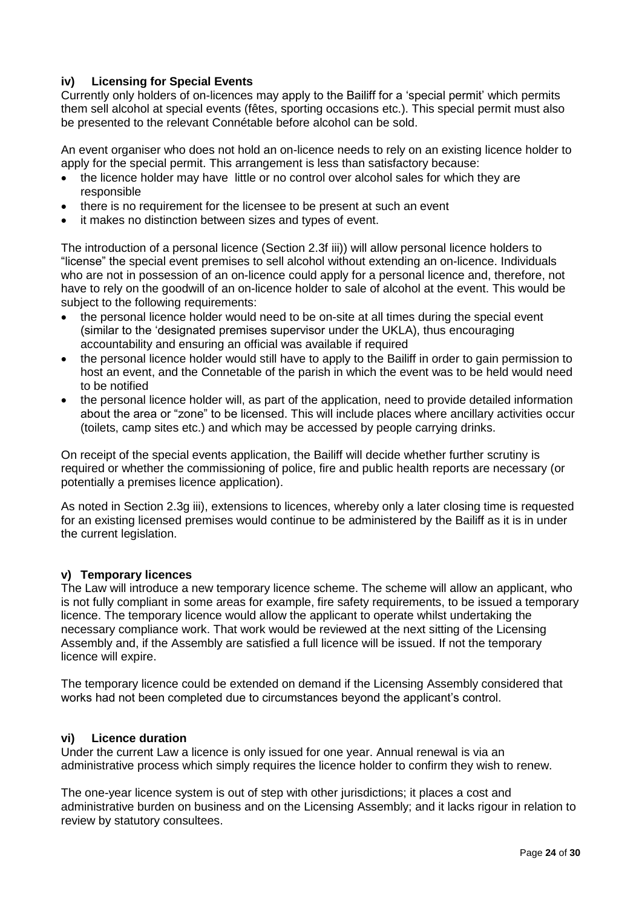## **iv) Licensing for Special Events**

Currently only holders of on-licences may apply to the Bailiff for a 'special permit' which permits them sell alcohol at special events (fêtes, sporting occasions etc.). This special permit must also be presented to the relevant Connétable before alcohol can be sold.

An event organiser who does not hold an on-licence needs to rely on an existing licence holder to apply for the special permit. This arrangement is less than satisfactory because:

- the licence holder may have little or no control over alcohol sales for which they are responsible
- there is no requirement for the licensee to be present at such an event
- it makes no distinction between sizes and types of event.

The introduction of a personal licence (Section 2.3f iii)) will allow personal licence holders to "license" the special event premises to sell alcohol without extending an on-licence. Individuals who are not in possession of an on-licence could apply for a personal licence and, therefore, not have to rely on the goodwill of an on-licence holder to sale of alcohol at the event. This would be subject to the following requirements:

- the personal licence holder would need to be on-site at all times during the special event (similar to the 'designated premises supervisor under the UKLA), thus encouraging accountability and ensuring an official was available if required
- the personal licence holder would still have to apply to the Bailiff in order to gain permission to host an event, and the Connetable of the parish in which the event was to be held would need to be notified
- the personal licence holder will, as part of the application, need to provide detailed information about the area or "zone" to be licensed. This will include places where ancillary activities occur (toilets, camp sites etc.) and which may be accessed by people carrying drinks.

On receipt of the special events application, the Bailiff will decide whether further scrutiny is required or whether the commissioning of police, fire and public health reports are necessary (or potentially a premises licence application).

As noted in Section 2.3g iii), extensions to licences, whereby only a later closing time is requested for an existing licensed premises would continue to be administered by the Bailiff as it is in under the current legislation.

## **v) Temporary licences**

The Law will introduce a new temporary licence scheme. The scheme will allow an applicant, who is not fully compliant in some areas for example, fire safety requirements, to be issued a temporary licence. The temporary licence would allow the applicant to operate whilst undertaking the necessary compliance work. That work would be reviewed at the next sitting of the Licensing Assembly and, if the Assembly are satisfied a full licence will be issued. If not the temporary licence will expire.

The temporary licence could be extended on demand if the Licensing Assembly considered that works had not been completed due to circumstances beyond the applicant's control.

#### **vi) Licence duration**

Under the current Law a licence is only issued for one year. Annual renewal is via an administrative process which simply requires the licence holder to confirm they wish to renew.

The one-year licence system is out of step with other jurisdictions; it places a cost and administrative burden on business and on the Licensing Assembly; and it lacks rigour in relation to review by statutory consultees.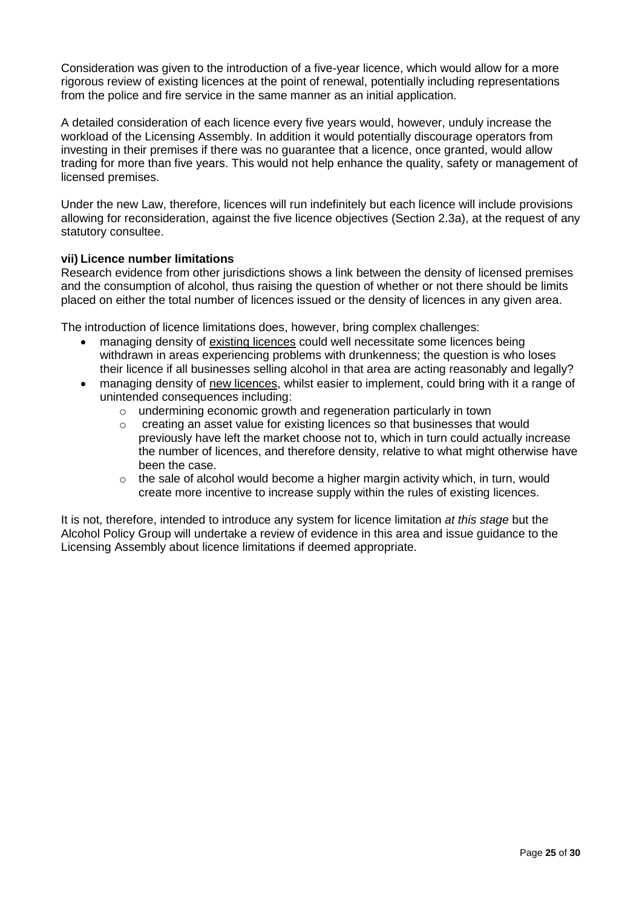Consideration was given to the introduction of a five-year licence, which would allow for a more rigorous review of existing licences at the point of renewal, potentially including representations from the police and fire service in the same manner as an initial application.

A detailed consideration of each licence every five years would, however, unduly increase the workload of the Licensing Assembly. In addition it would potentially discourage operators from investing in their premises if there was no guarantee that a licence, once granted, would allow trading for more than five years. This would not help enhance the quality, safety or management of licensed premises.

Under the new Law, therefore, licences will run indefinitely but each licence will include provisions allowing for reconsideration, against the five licence objectives (Section 2.3a), at the request of any statutory consultee.

### **vii) Licence number limitations**

Research evidence from other jurisdictions shows a link between the density of licensed premises and the consumption of alcohol, thus raising the question of whether or not there should be limits placed on either the total number of licences issued or the density of licences in any given area.

The introduction of licence limitations does, however, bring complex challenges:

- managing density of existing licences could well necessitate some licences being withdrawn in areas experiencing problems with drunkenness; the question is who loses their licence if all businesses selling alcohol in that area are acting reasonably and legally?
- managing density of new licences, whilst easier to implement, could bring with it a range of unintended consequences including:
	- o undermining economic growth and regeneration particularly in town
	- $\circ$  creating an asset value for existing licences so that businesses that would previously have left the market choose not to, which in turn could actually increase the number of licences, and therefore density, relative to what might otherwise have been the case.
	- $\circ$  the sale of alcohol would become a higher margin activity which, in turn, would create more incentive to increase supply within the rules of existing licences.

It is not, therefore, intended to introduce any system for licence limitation *at this stage* but the Alcohol Policy Group will undertake a review of evidence in this area and issue guidance to the Licensing Assembly about licence limitations if deemed appropriate.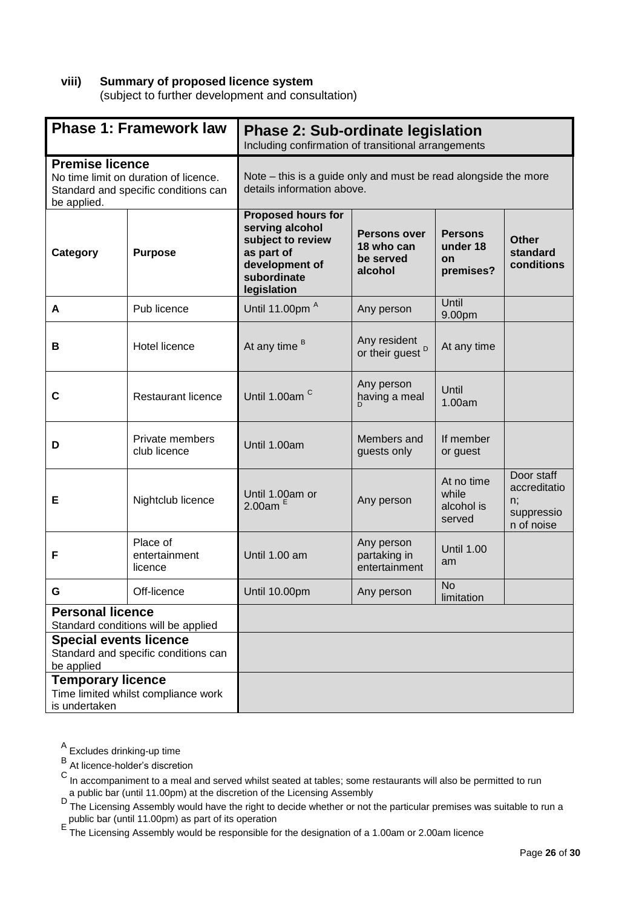# **viii) Summary of proposed licence system**

(subject to further development and consultation)

| <b>Phase 1: Framework law</b>                                                                                                                                                                              | <b>Phase 2: Sub-ordinate legislation</b><br>Including confirmation of transitional arrangements                                 |                                                           |                                               |                                                              |
|------------------------------------------------------------------------------------------------------------------------------------------------------------------------------------------------------------|---------------------------------------------------------------------------------------------------------------------------------|-----------------------------------------------------------|-----------------------------------------------|--------------------------------------------------------------|
| <b>Premise licence</b><br>No time limit on duration of licence.<br>Standard and specific conditions can                                                                                                    | Note – this is a guide only and must be read alongside the more<br>details information above.                                   |                                                           |                                               |                                                              |
| <b>Purpose</b>                                                                                                                                                                                             | <b>Proposed hours for</b><br>serving alcohol<br>subject to review<br>as part of<br>development of<br>subordinate<br>legislation | <b>Persons over</b><br>18 who can<br>be served<br>alcohol | <b>Persons</b><br>under 18<br>on<br>premises? | <b>Other</b><br>standard<br>conditions                       |
| Pub licence                                                                                                                                                                                                | Until 11.00pm <sup>A</sup>                                                                                                      | Any person                                                | 9.00pm                                        |                                                              |
| Hotel licence                                                                                                                                                                                              | At any time <sup>B</sup>                                                                                                        | Any resident<br>or their guest <sup>D</sup>               | At any time                                   |                                                              |
| <b>Restaurant licence</b>                                                                                                                                                                                  | Until 1.00am <sup>C</sup>                                                                                                       | Any person<br>having a meal                               | Until<br>1.00am                               |                                                              |
| Private members<br>club licence                                                                                                                                                                            | Until 1.00am                                                                                                                    | Members and<br>guests only                                | If member<br>or guest                         |                                                              |
| Nightclub licence                                                                                                                                                                                          | Until 1.00am or<br>2.00am $E$                                                                                                   | Any person                                                | At no time<br>while<br>alcohol is<br>served   | Door staff<br>accreditatio<br>n;<br>suppressio<br>n of noise |
| Place of<br>entertainment<br>licence                                                                                                                                                                       | Until 1.00 am                                                                                                                   | Any person<br>partaking in<br>entertainment               | <b>Until 1.00</b><br>am                       |                                                              |
| Off-licence                                                                                                                                                                                                | Until 10.00pm                                                                                                                   | Any person                                                | <b>No</b><br>limitation                       |                                                              |
| <b>Personal licence</b><br>Standard conditions will be applied<br><b>Special events licence</b><br>Standard and specific conditions can<br><b>Temporary licence</b><br>Time limited whilst compliance work |                                                                                                                                 |                                                           |                                               |                                                              |
|                                                                                                                                                                                                            |                                                                                                                                 |                                                           |                                               | Until                                                        |

A Excludes drinking-up time

B<br>At licence-holder's discretion

 $\rm{c}$  In accompaniment to a meal and served whilst seated at tables; some restaurants will also be permitted to run a public bar (until 11.00pm) at the discretion of the Licensing Assembly

D The Licensing Assembly would have the right to decide whether or not the particular premises was suitable to run a public bar (until 11.00pm) as part of its operation

E<br>The Licensing Assembly would be responsible for the designation of a 1.00am or 2.00am licence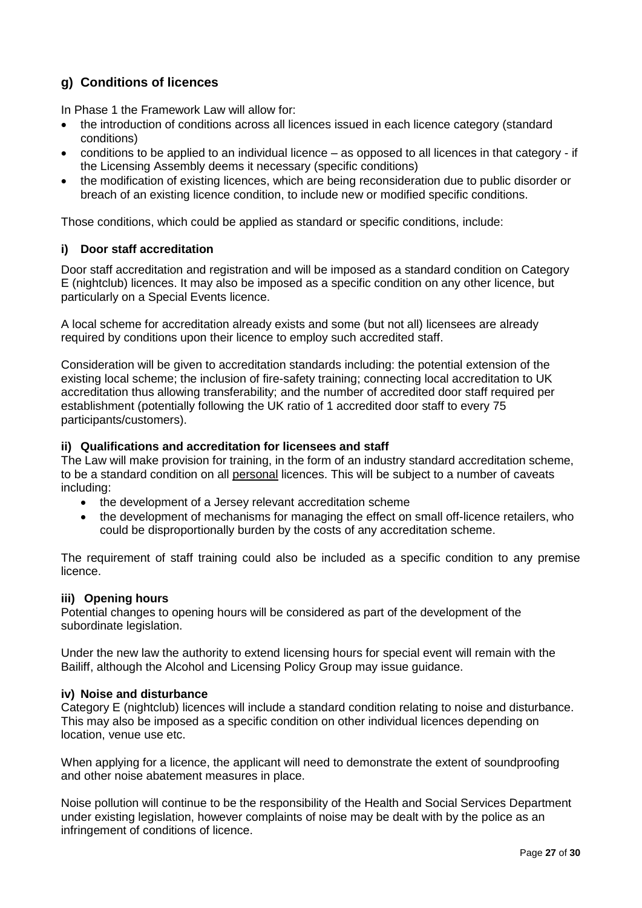# **g) Conditions of licences**

In Phase 1 the Framework Law will allow for:

- the introduction of conditions across all licences issued in each licence category (standard conditions)
- conditions to be applied to an individual licence as opposed to all licences in that category if the Licensing Assembly deems it necessary (specific conditions)
- the modification of existing licences, which are being reconsideration due to public disorder or breach of an existing licence condition, to include new or modified specific conditions.

Those conditions, which could be applied as standard or specific conditions, include:

#### **i) Door staff accreditation**

Door staff accreditation and registration and will be imposed as a standard condition on Category E (nightclub) licences. It may also be imposed as a specific condition on any other licence, but particularly on a Special Events licence.

A local scheme for accreditation already exists and some (but not all) licensees are already required by conditions upon their licence to employ such accredited staff.

Consideration will be given to accreditation standards including: the potential extension of the existing local scheme; the inclusion of fire-safety training; connecting local accreditation to UK accreditation thus allowing transferability; and the number of accredited door staff required per establishment (potentially following the UK ratio of 1 accredited door staff to every 75 participants/customers).

#### **ii) Qualifications and accreditation for licensees and staff**

The Law will make provision for training, in the form of an industry standard accreditation scheme, to be a standard condition on all personal licences. This will be subject to a number of caveats including:

- the development of a Jersey relevant accreditation scheme
- the development of mechanisms for managing the effect on small off-licence retailers, who could be disproportionally burden by the costs of any accreditation scheme.

The requirement of staff training could also be included as a specific condition to any premise licence.

#### **iii) Opening hours**

Potential changes to opening hours will be considered as part of the development of the subordinate legislation.

Under the new law the authority to extend licensing hours for special event will remain with the Bailiff, although the Alcohol and Licensing Policy Group may issue guidance.

#### **iv) Noise and disturbance**

Category E (nightclub) licences will include a standard condition relating to noise and disturbance. This may also be imposed as a specific condition on other individual licences depending on location, venue use etc.

When applying for a licence, the applicant will need to demonstrate the extent of soundproofing and other noise abatement measures in place.

Noise pollution will continue to be the responsibility of the Health and Social Services Department under existing legislation, however complaints of noise may be dealt with by the police as an infringement of conditions of licence.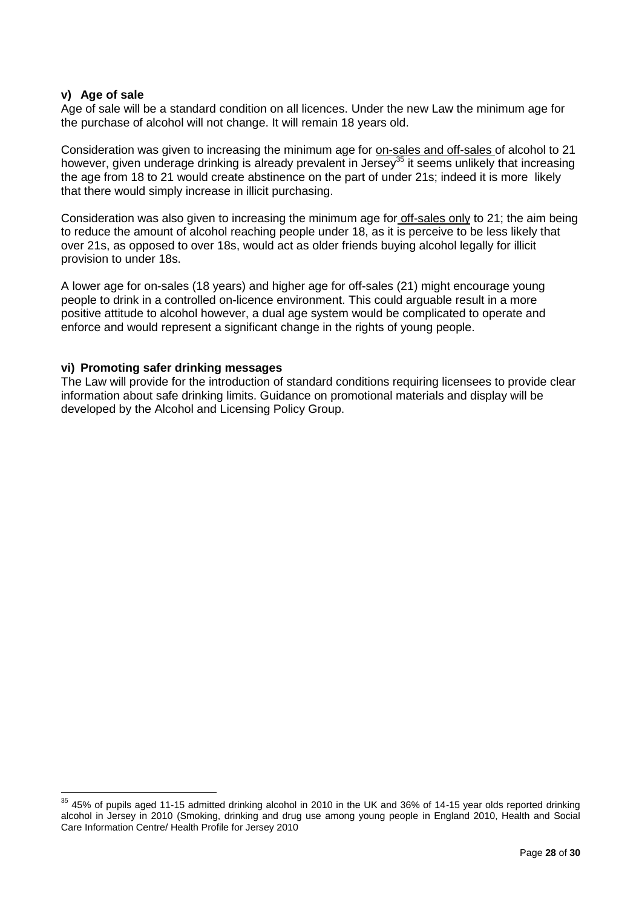#### **v) Age of sale**

 $\overline{a}$ 

Age of sale will be a standard condition on all licences. Under the new Law the minimum age for the purchase of alcohol will not change. It will remain 18 years old.

Consideration was given to increasing the minimum age for on-sales and off-sales of alcohol to 21 however, given underage drinking is already prevalent in Jersey<sup>35</sup> it seems unlikely that increasing the age from 18 to 21 would create abstinence on the part of under 21s; indeed it is more likely that there would simply increase in illicit purchasing.

Consideration was also given to increasing the minimum age for off-sales only to 21; the aim being to reduce the amount of alcohol reaching people under 18, as it is perceive to be less likely that over 21s, as opposed to over 18s, would act as older friends buying alcohol legally for illicit provision to under 18s.

A lower age for on-sales (18 years) and higher age for off-sales (21) might encourage young people to drink in a controlled on-licence environment. This could arguable result in a more positive attitude to alcohol however, a dual age system would be complicated to operate and enforce and would represent a significant change in the rights of young people.

#### **vi) Promoting safer drinking messages**

The Law will provide for the introduction of standard conditions requiring licensees to provide clear information about safe drinking limits. Guidance on promotional materials and display will be developed by the Alcohol and Licensing Policy Group.

 $35$  45% of pupils aged 11-15 admitted drinking alcohol in 2010 in the UK and 36% of 14-15 year olds reported drinking alcohol in Jersey in 2010 (Smoking, drinking and drug use among young people in England 2010, Health and Social Care Information Centre/ Health Profile for Jersey 2010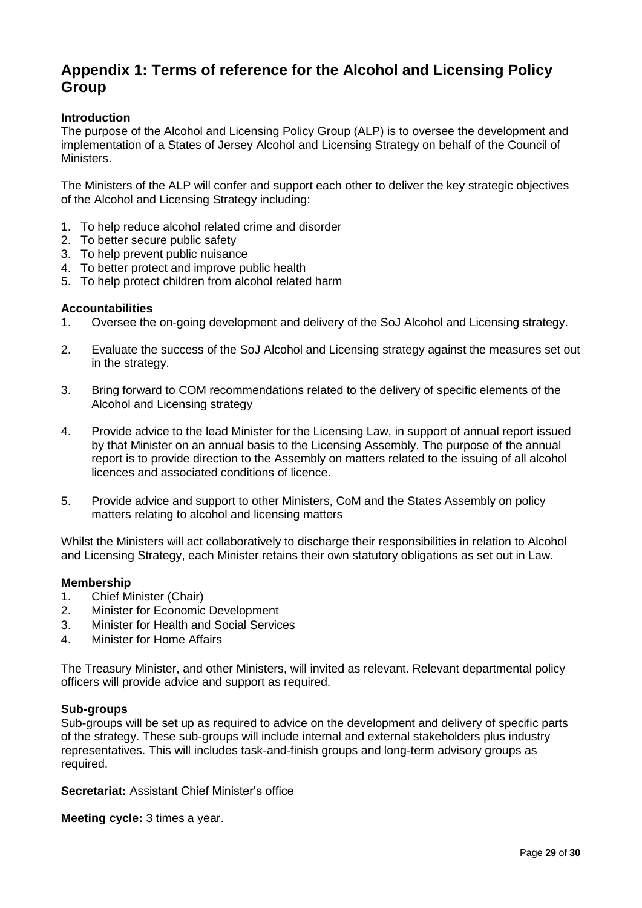# **Appendix 1: Terms of reference for the Alcohol and Licensing Policy Group**

#### **Introduction**

The purpose of the Alcohol and Licensing Policy Group (ALP) is to oversee the development and implementation of a States of Jersey Alcohol and Licensing Strategy on behalf of the Council of Ministers.

The Ministers of the ALP will confer and support each other to deliver the key strategic objectives of the Alcohol and Licensing Strategy including:

- 1. To help reduce alcohol related crime and disorder
- 2. To better secure public safety
- 3. To help prevent public nuisance
- 4. To better protect and improve public health
- 5. To help protect children from alcohol related harm

#### **Accountabilities**

- 1. Oversee the on-going development and delivery of the SoJ Alcohol and Licensing strategy.
- 2. Evaluate the success of the SoJ Alcohol and Licensing strategy against the measures set out in the strategy.
- 3. Bring forward to COM recommendations related to the delivery of specific elements of the Alcohol and Licensing strategy
- 4. Provide advice to the lead Minister for the Licensing Law, in support of annual report issued by that Minister on an annual basis to the Licensing Assembly. The purpose of the annual report is to provide direction to the Assembly on matters related to the issuing of all alcohol licences and associated conditions of licence.
- 5. Provide advice and support to other Ministers, CoM and the States Assembly on policy matters relating to alcohol and licensing matters

Whilst the Ministers will act collaboratively to discharge their responsibilities in relation to Alcohol and Licensing Strategy, each Minister retains their own statutory obligations as set out in Law.

#### **Membership**

- 1. Chief Minister (Chair)
- 2. Minister for Economic Development
- 3. Minister for Health and Social Services
- 4. Minister for Home Affairs

The Treasury Minister, and other Ministers, will invited as relevant. Relevant departmental policy officers will provide advice and support as required.

#### **Sub-groups**

Sub-groups will be set up as required to advice on the development and delivery of specific parts of the strategy. These sub-groups will include internal and external stakeholders plus industry representatives. This will includes task-and-finish groups and long-term advisory groups as required.

**Secretariat:** Assistant Chief Minister's office

**Meeting cycle:** 3 times a year.